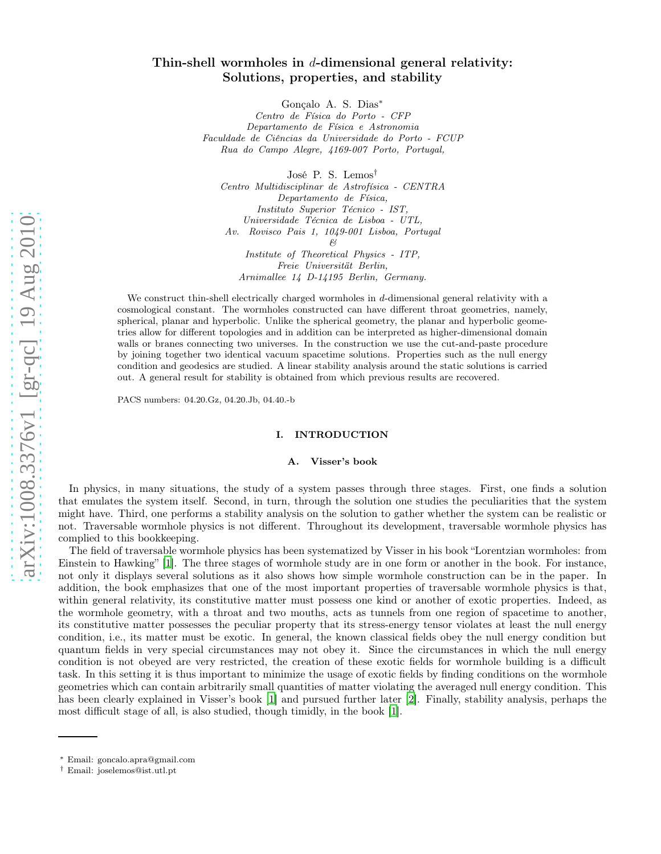# Thin-shell wormholes in  $d$ -dimensional general relativity: Solutions, properties, and stability

Gonçalo A. S. Dias∗

Centro de Física do Porto - CFP Departamento de Física e Astronomia Faculdade de Ciências da Universidade do Porto - FCUP Rua do Campo Alegre, 4169-007 Porto, Portugal,

José P. S. Lemos†

Centro Multidisciplinar de Astrofísica - CENTRA Departamento de Física, Instituto Superior Técnico - IST, Universidade Técnica de Lisboa - UTL, Av. Rovisco Pais 1, 1049-001 Lisboa, Portugal  $\beta$ Institute of Theoretical Physics - ITP, Freie Universität Berlin, Arnimallee 14 D-14195 Berlin, Germany.

We construct thin-shell electrically charged wormholes in d-dimensional general relativity with a cosmological constant. The wormholes constructed can have different throat geometries, namely, spherical, planar and hyperbolic. Unlike the spherical geometry, the planar and hyperbolic geometries allow for different topologies and in addition can be interpreted as higher-dimensional domain walls or branes connecting two universes. In the construction we use the cut-and-paste procedure by joining together two identical vacuum spacetime solutions. Properties such as the null energy condition and geodesics are studied. A linear stability analysis around the static solutions is carried out. A general result for stability is obtained from which previous results are recovered.

PACS numbers: 04.20.Gz, 04.20.Jb, 04.40.-b

## I. INTRODUCTION

## A. Visser's book

In physics, in many situations, the study of a system passes through three stages. First, one finds a solution that emulates the system itself. Second, in turn, through the solution one studies the peculiarities that the system might have. Third, one performs a stability analysis on the solution to gather whether the system can be realistic or not. Traversable wormhole physics is not different. Throughout its development, traversable wormhole physics has complied to this bookkeeping.

The field of traversable wormhole physics has been systematized by Visser in his book "Lorentzian wormholes: from Einstein to Hawking" [\[1\]](#page-13-0). The three stages of wormhole study are in one form or another in the book. For instance, not only it displays several solutions as it also shows how simple wormhole construction can be in the paper. In addition, the book emphasizes that one of the most important properties of traversable wormhole physics is that, within general relativity, its constitutive matter must possess one kind or another of exotic properties. Indeed, as the wormhole geometry, with a throat and two mouths, acts as tunnels from one region of spacetime to another, its constitutive matter possesses the peculiar property that its stress-energy tensor violates at least the null energy condition, i.e., its matter must be exotic. In general, the known classical fields obey the null energy condition but quantum fields in very special circumstances may not obey it. Since the circumstances in which the null energy condition is not obeyed are very restricted, the creation of these exotic fields for wormhole building is a difficult task. In this setting it is thus important to minimize the usage of exotic fields by finding conditions on the wormhole geometries which can contain arbitrarily small quantities of matter violating the averaged null energy condition. This has been clearly explained in Visser's book [\[1](#page-13-0)] and pursued further later [\[2\]](#page-13-1). Finally, stability analysis, perhaps the most difficult stage of all, is also studied, though timidly, in the book [\[1\]](#page-13-0).

<sup>∗</sup> Email: goncalo.apra@gmail.com

<sup>†</sup> Email: joselemos@ist.utl.pt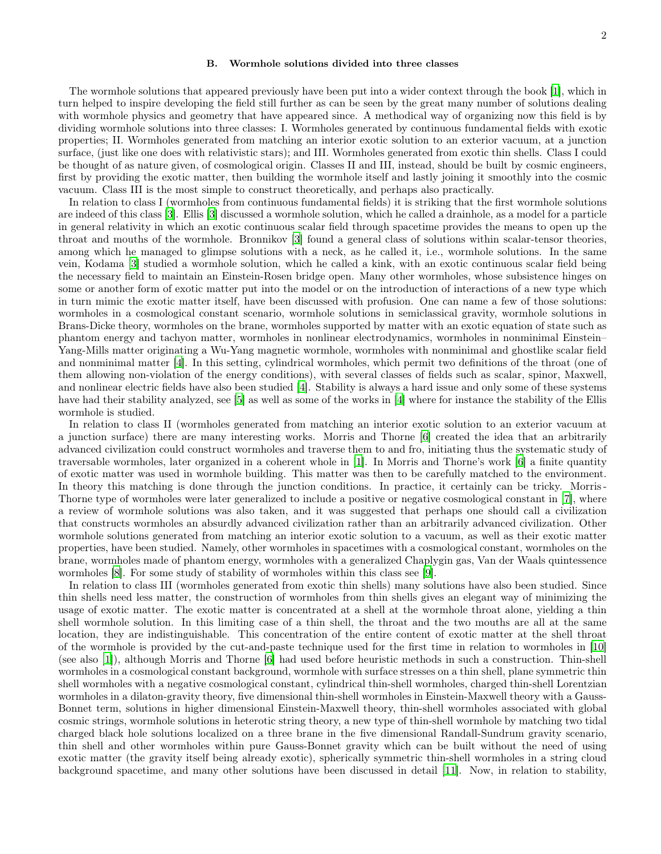## B. Wormhole solutions divided into three classes

The wormhole solutions that appeared previously have been put into a wider context through the book [\[1](#page-13-0)], which in turn helped to inspire developing the field still further as can be seen by the great many number of solutions dealing with wormhole physics and geometry that have appeared since. A methodical way of organizing now this field is by dividing wormhole solutions into three classes: I. Wormholes generated by continuous fundamental fields with exotic properties; II. Wormholes generated from matching an interior exotic solution to an exterior vacuum, at a junction surface, (just like one does with relativistic stars); and III. Wormholes generated from exotic thin shells. Class I could be thought of as nature given, of cosmological origin. Classes II and III, instead, should be built by cosmic engineers, first by providing the exotic matter, then building the wormhole itself and lastly joining it smoothly into the cosmic vacuum. Class III is the most simple to construct theoretically, and perhaps also practically.

In relation to class I (wormholes from continuous fundamental fields) it is striking that the first wormhole solutions are indeed of this class [\[3](#page-13-2)]. Ellis [\[3](#page-13-2)] discussed a wormhole solution, which he called a drainhole, as a model for a particle in general relativity in which an exotic continuous scalar field through spacetime provides the means to open up the throat and mouths of the wormhole. Bronnikov [\[3\]](#page-13-2) found a general class of solutions within scalar-tensor theories, among which he managed to glimpse solutions with a neck, as he called it, i.e., wormhole solutions. In the same vein, Kodama [\[3\]](#page-13-2) studied a wormhole solution, which he called a kink, with an exotic continuous scalar field being the necessary field to maintain an Einstein-Rosen bridge open. Many other wormholes, whose subsistence hinges on some or another form of exotic matter put into the model or on the introduction of interactions of a new type which in turn mimic the exotic matter itself, have been discussed with profusion. One can name a few of those solutions: wormholes in a cosmological constant scenario, wormhole solutions in semiclassical gravity, wormhole solutions in Brans-Dicke theory, wormholes on the brane, wormholes supported by matter with an exotic equation of state such as phantom energy and tachyon matter, wormholes in nonlinear electrodynamics, wormholes in nonminimal Einstein– Yang-Mills matter originating a Wu-Yang magnetic wormhole, wormholes with nonminimal and ghostlike scalar field and nonminimal matter [\[4](#page-13-3)]. In this setting, cylindrical wormholes, which permit two definitions of the throat (one of them allowing non-violation of the energy conditions), with several classes of fields such as scalar, spinor, Maxwell, and nonlinear electric fields have also been studied [\[4\]](#page-13-3). Stability is always a hard issue and only some of these systems have had their stability analyzed, see [\[5\]](#page-14-0) as well as some of the works in [\[4\]](#page-13-3) where for instance the stability of the Ellis wormhole is studied.

In relation to class II (wormholes generated from matching an interior exotic solution to an exterior vacuum at a junction surface) there are many interesting works. Morris and Thorne [\[6\]](#page-14-1) created the idea that an arbitrarily advanced civilization could construct wormholes and traverse them to and fro, initiating thus the systematic study of traversable wormholes, later organized in a coherent whole in [\[1](#page-13-0)]. In Morris and Thorne's work [\[6\]](#page-14-1) a finite quantity of exotic matter was used in wormhole building. This matter was then to be carefully matched to the environment. In theory this matching is done through the junction conditions. In practice, it certainly can be tricky. Morris-Thorne type of wormholes were later generalized to include a positive or negative cosmological constant in [\[7\]](#page-14-2), where a review of wormhole solutions was also taken, and it was suggested that perhaps one should call a civilization that constructs wormholes an absurdly advanced civilization rather than an arbitrarily advanced civilization. Other wormhole solutions generated from matching an interior exotic solution to a vacuum, as well as their exotic matter properties, have been studied. Namely, other wormholes in spacetimes with a cosmological constant, wormholes on the brane, wormholes made of phantom energy, wormholes with a generalized Chaplygin gas, Van der Waals quintessence wormholes [\[8\]](#page-14-3). For some study of stability of wormholes within this class see [\[9](#page-14-4)].

In relation to class III (wormholes generated from exotic thin shells) many solutions have also been studied. Since thin shells need less matter, the construction of wormholes from thin shells gives an elegant way of minimizing the usage of exotic matter. The exotic matter is concentrated at a shell at the wormhole throat alone, yielding a thin shell wormhole solution. In this limiting case of a thin shell, the throat and the two mouths are all at the same location, they are indistinguishable. This concentration of the entire content of exotic matter at the shell throat of the wormhole is provided by the cut-and-paste technique used for the first time in relation to wormholes in [\[10](#page-14-5)] (see also [\[1](#page-13-0)]), although Morris and Thorne [\[6](#page-14-1)] had used before heuristic methods in such a construction. Thin-shell wormholes in a cosmological constant background, wormhole with surface stresses on a thin shell, plane symmetric thin shell wormholes with a negative cosmological constant, cylindrical thin-shell wormholes, charged thin-shell Lorentzian wormholes in a dilaton-gravity theory, five dimensional thin-shell wormholes in Einstein-Maxwell theory with a Gauss-Bonnet term, solutions in higher dimensional Einstein-Maxwell theory, thin-shell wormholes associated with global cosmic strings, wormhole solutions in heterotic string theory, a new type of thin-shell wormhole by matching two tidal charged black hole solutions localized on a three brane in the five dimensional Randall-Sundrum gravity scenario, thin shell and other wormholes within pure Gauss-Bonnet gravity which can be built without the need of using exotic matter (the gravity itself being already exotic), spherically symmetric thin-shell wormholes in a string cloud background spacetime, and many other solutions have been discussed in detail [\[11\]](#page-14-6). Now, in relation to stability,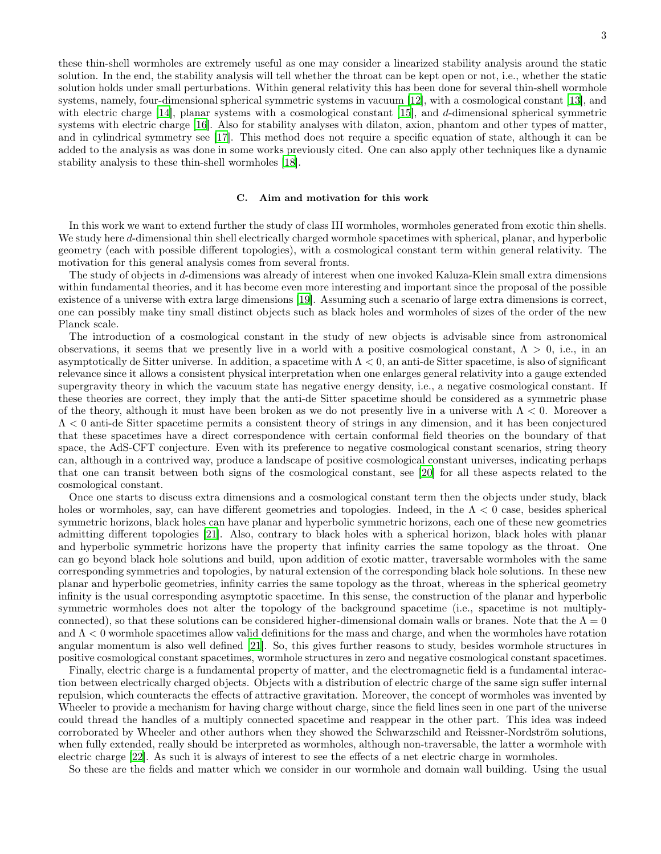these thin-shell wormholes are extremely useful as one may consider a linearized stability analysis around the static solution. In the end, the stability analysis will tell whether the throat can be kept open or not, i.e., whether the static solution holds under small perturbations. Within general relativity this has been done for several thin-shell wormhole systems, namely, four-dimensional spherical symmetric systems in vacuum [\[12\]](#page-14-7), with a cosmological constant [\[13\]](#page-14-8), and with electric charge  $[14]$ , planar systems with a cosmological constant  $[15]$ , and d-dimensional spherical symmetric systems with electric charge [\[16\]](#page-14-11). Also for stability analyses with dilaton, axion, phantom and other types of matter, and in cylindrical symmetry see [\[17\]](#page-14-12). This method does not require a specific equation of state, although it can be added to the analysis as was done in some works previously cited. One can also apply other techniques like a dynamic stability analysis to these thin-shell wormholes [\[18\]](#page-15-0).

### C. Aim and motivation for this work

In this work we want to extend further the study of class III wormholes, wormholes generated from exotic thin shells. We study here d-dimensional thin shell electrically charged wormhole spacetimes with spherical, planar, and hyperbolic geometry (each with possible different topologies), with a cosmological constant term within general relativity. The motivation for this general analysis comes from several fronts.

The study of objects in d-dimensions was already of interest when one invoked Kaluza-Klein small extra dimensions within fundamental theories, and it has become even more interesting and important since the proposal of the possible existence of a universe with extra large dimensions [\[19](#page-15-1)]. Assuming such a scenario of large extra dimensions is correct, one can possibly make tiny small distinct objects such as black holes and wormholes of sizes of the order of the new Planck scale.

The introduction of a cosmological constant in the study of new objects is advisable since from astronomical observations, it seems that we presently live in a world with a positive cosmological constant,  $\Lambda > 0$ , i.e., in an asymptotically de Sitter universe. In addition, a spacetime with  $\Lambda < 0$ , an anti-de Sitter spacetime, is also of significant relevance since it allows a consistent physical interpretation when one enlarges general relativity into a gauge extended supergravity theory in which the vacuum state has negative energy density, i.e., a negative cosmological constant. If these theories are correct, they imply that the anti-de Sitter spacetime should be considered as a symmetric phase of the theory, although it must have been broken as we do not presently live in a universe with  $\Lambda < 0$ . Moreover a  $\Lambda$  < 0 anti-de Sitter spacetime permits a consistent theory of strings in any dimension, and it has been conjectured that these spacetimes have a direct correspondence with certain conformal field theories on the boundary of that space, the AdS-CFT conjecture. Even with its preference to negative cosmological constant scenarios, string theory can, although in a contrived way, produce a landscape of positive cosmological constant universes, indicating perhaps that one can transit between both signs of the cosmological constant, see [\[20\]](#page-15-2) for all these aspects related to the cosmological constant.

Once one starts to discuss extra dimensions and a cosmological constant term then the objects under study, black holes or wormholes, say, can have different geometries and topologies. Indeed, in the  $\Lambda < 0$  case, besides spherical symmetric horizons, black holes can have planar and hyperbolic symmetric horizons, each one of these new geometries admitting different topologies [\[21\]](#page-15-3). Also, contrary to black holes with a spherical horizon, black holes with planar and hyperbolic symmetric horizons have the property that infinity carries the same topology as the throat. One can go beyond black hole solutions and build, upon addition of exotic matter, traversable wormholes with the same corresponding symmetries and topologies, by natural extension of the corresponding black hole solutions. In these new planar and hyperbolic geometries, infinity carries the same topology as the throat, whereas in the spherical geometry infinity is the usual corresponding asymptotic spacetime. In this sense, the construction of the planar and hyperbolic symmetric wormholes does not alter the topology of the background spacetime (i.e., spacetime is not multiplyconnected), so that these solutions can be considered higher-dimensional domain walls or branes. Note that the  $\Lambda = 0$ and  $\Lambda < 0$  wormhole spacetimes allow valid definitions for the mass and charge, and when the wormholes have rotation angular momentum is also well defined [\[21\]](#page-15-3). So, this gives further reasons to study, besides wormhole structures in positive cosmological constant spacetimes, wormhole structures in zero and negative cosmological constant spacetimes.

Finally, electric charge is a fundamental property of matter, and the electromagnetic field is a fundamental interaction between electrically charged objects. Objects with a distribution of electric charge of the same sign suffer internal repulsion, which counteracts the effects of attractive gravitation. Moreover, the concept of wormholes was invented by Wheeler to provide a mechanism for having charge without charge, since the field lines seen in one part of the universe could thread the handles of a multiply connected spacetime and reappear in the other part. This idea was indeed corroborated by Wheeler and other authors when they showed the Schwarzschild and Reissner-Nordström solutions, when fully extended, really should be interpreted as wormholes, although non-traversable, the latter a wormhole with electric charge [\[22](#page-15-4)]. As such it is always of interest to see the effects of a net electric charge in wormholes.

So these are the fields and matter which we consider in our wormhole and domain wall building. Using the usual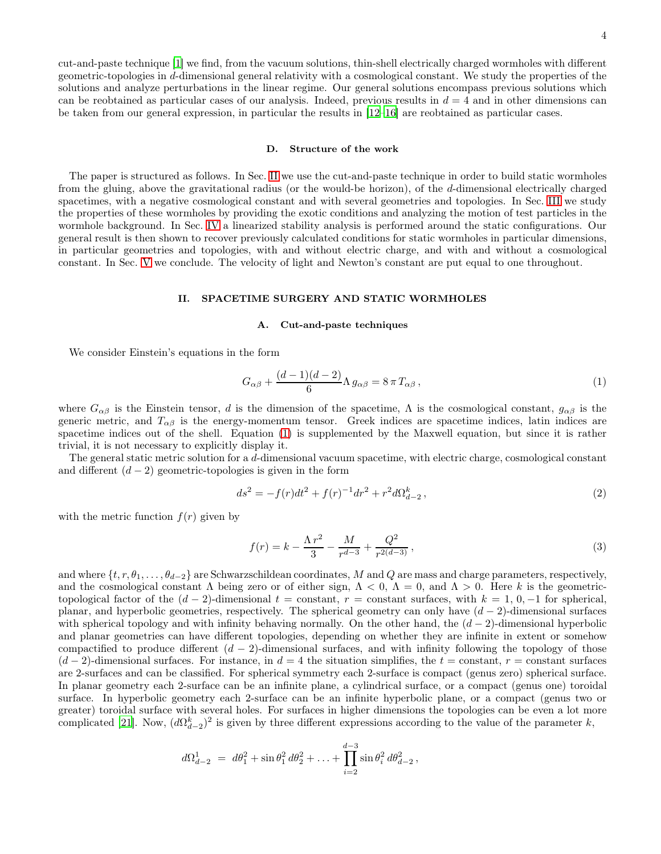cut-and-paste technique [\[1\]](#page-13-0) we find, from the vacuum solutions, thin-shell electrically charged wormholes with different geometric-topologies in d-dimensional general relativity with a cosmological constant. We study the properties of the solutions and analyze perturbations in the linear regime. Our general solutions encompass previous solutions which can be reobtained as particular cases of our analysis. Indeed, previous results in  $d = 4$  and in other dimensions can be taken from our general expression, in particular the results in [\[12](#page-14-7)[–16\]](#page-14-11) are reobtained as particular cases.

### D. Structure of the work

The paper is structured as follows. In Sec. [II](#page-3-0) we use the cut-and-paste technique in order to build static wormholes from the gluing, above the gravitational radius (or the would-be horizon), of the d-dimensional electrically charged spacetimes, with a negative cosmological constant and with several geometries and topologies. In Sec. [III](#page-5-0) we study the properties of these wormholes by providing the exotic conditions and analyzing the motion of test particles in the wormhole background. In Sec. [IV](#page-7-0) a linearized stability analysis is performed around the static configurations. Our general result is then shown to recover previously calculated conditions for static wormholes in particular dimensions, in particular geometries and topologies, with and without electric charge, and with and without a cosmological constant. In Sec. [V](#page-13-4) we conclude. The velocity of light and Newton's constant are put equal to one throughout.

## <span id="page-3-0"></span>II. SPACETIME SURGERY AND STATIC WORMHOLES

### A. Cut-and-paste techniques

We consider Einstein's equations in the form

<span id="page-3-1"></span>
$$
G_{\alpha\beta} + \frac{(d-1)(d-2)}{6}\Lambda g_{\alpha\beta} = 8\pi T_{\alpha\beta},\qquad(1)
$$

where  $G_{\alpha\beta}$  is the Einstein tensor, d is the dimension of the spacetime,  $\Lambda$  is the cosmological constant,  $g_{\alpha\beta}$  is the generic metric, and  $T_{\alpha\beta}$  is the energy-momentum tensor. Greek indices are spacetime indices, latin indices are spacetime indices out of the shell. Equation [\(1\)](#page-3-1) is supplemented by the Maxwell equation, but since it is rather trivial, it is not necessary to explicitly display it.

The general static metric solution for a d-dimensional vacuum spacetime, with electric charge, cosmological constant and different  $(d-2)$  geometric-topologies is given in the form

<span id="page-3-3"></span>
$$
ds^{2} = -f(r)dt^{2} + f(r)^{-1}dr^{2} + r^{2}d\Omega_{d-2}^{k} ,
$$
\n(2)

with the metric function  $f(r)$  given by

<span id="page-3-2"></span>
$$
f(r) = k - \frac{\Lambda r^2}{3} - \frac{M}{r^{d-3}} + \frac{Q^2}{r^{2(d-3)}},
$$
\n(3)

and where  $\{t, r, \theta_1, \ldots, \theta_{d-2}\}$  are Schwarzschildean coordinates, M and Q are mass and charge parameters, respectively, and the cosmological constant  $\Lambda$  being zero or of either sign,  $\Lambda < 0$ ,  $\Lambda = 0$ , and  $\Lambda > 0$ . Here k is the geometrictopological factor of the  $(d-2)$ -dimensional  $t = constant$ ,  $r = constant$  surfaces, with  $k = 1, 0, -1$  for spherical, planar, and hyperbolic geometries, respectively. The spherical geometry can only have  $(d-2)$ -dimensional surfaces with spherical topology and with infinity behaving normally. On the other hand, the  $(d-2)$ -dimensional hyperbolic and planar geometries can have different topologies, depending on whether they are infinite in extent or somehow compactified to produce different  $(d-2)$ -dimensional surfaces, and with infinity following the topology of those  $(d-2)$ -dimensional surfaces. For instance, in  $d=4$  the situation simplifies, the  $t = constant$ ,  $r = constant$  surfaces are 2-surfaces and can be classified. For spherical symmetry each 2-surface is compact (genus zero) spherical surface. In planar geometry each 2-surface can be an infinite plane, a cylindrical surface, or a compact (genus one) toroidal surface. In hyperbolic geometry each 2-surface can be an infinite hyperbolic plane, or a compact (genus two or greater) toroidal surface with several holes. For surfaces in higher dimensions the topologies can be even a lot more complicated [\[21](#page-15-3)]. Now,  $(d\Omega_{d-2}^k)^2$  is given by three different expressions according to the value of the parameter k,

<span id="page-3-4"></span>
$$
d\Omega_{d-2}^1 = d\theta_1^2 + \sin \theta_1^2 d\theta_2^2 + \ldots + \prod_{i=2}^{d-3} \sin \theta_i^2 d\theta_{d-2}^2,
$$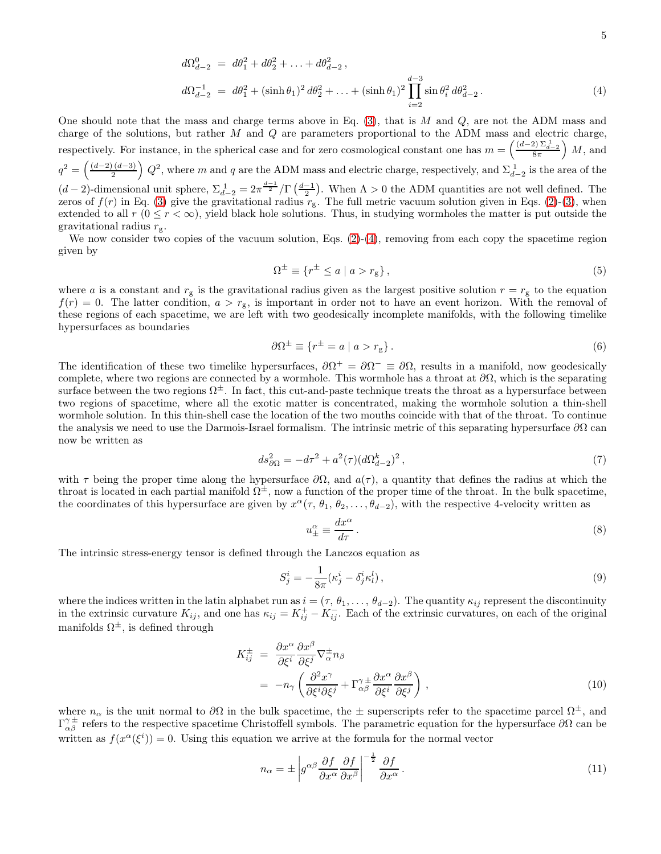$$
d\Omega_{d-2}^0 = d\theta_1^2 + d\theta_2^2 + \dots + d\theta_{d-2}^2,
$$
  
\n
$$
d\Omega_{d-2}^{-1} = d\theta_1^2 + (\sinh \theta_1)^2 d\theta_2^2 + \dots + (\sinh \theta_1)^2 \prod_{i=2}^{d-3} \sin \theta_i^2 d\theta_{d-2}^2.
$$
\n(4)

One should note that the mass and charge terms above in Eq.  $(3)$ , that is M and Q, are not the ADM mass and charge of the solutions, but rather  $M$  and  $Q$  are parameters proportional to the ADM mass and electric charge, respectively. For instance, in the spherical case and for zero cosmological constant one has  $m = \left(\frac{(d-2)\sum_{d=2}^{1} n}{8\pi}\right) M$ , and  $q^2 = \left(\frac{(d-2)(d-3)}{2}\right) Q^2$ , where m and q are the ADM mass and electric charge, respectively, and  $\Sigma_{d-2}^1$  is the area of the  $(d-2)$ -dimensional unit sphere,  $\Sigma_{d-2}^1 = 2\pi \frac{d-1}{2}/\Gamma\left(\frac{d-1}{2}\right)$ . When  $\Lambda > 0$  the ADM quantities are not well defined. The zeros of  $f(r)$  in Eq. [\(3\)](#page-3-2) give the gravitational radius  $r_g$ . The full metric vacuum solution given in Eqs. [\(2\)](#page-3-3)-[\(3\)](#page-3-2), when extended to all r  $(0 \le r < \infty)$ , yield black hole solutions. Thus, in studying wormholes the matter is put outside the gravitational radius  $r_{\rm g}$ .

We now consider two copies of the vacuum solution, Eqs.  $(2)-(4)$  $(2)-(4)$ , removing from each copy the spacetime region given by

$$
\Omega^{\pm} \equiv \{ r^{\pm} \le a \mid a > r_{g} \},\tag{5}
$$

where a is a constant and  $r_g$  is the gravitational radius given as the largest positive solution  $r = r_g$  to the equation  $f(r) = 0$ . The latter condition,  $a > r<sub>g</sub>$ , is important in order not to have an event horizon. With the removal of these regions of each spacetime, we are left with two geodesically incomplete manifolds, with the following timelike hypersurfaces as boundaries

$$
\partial \Omega^{\pm} \equiv \{ r^{\pm} = a \mid a > r_{g} \}.
$$
 (6)

The identification of these two timelike hypersurfaces,  $\partial \Omega^+ = \partial \Omega^- \equiv \partial \Omega$ , results in a manifold, now geodesically complete, where two regions are connected by a wormhole. This wormhole has a throat at  $\partial\Omega$ , which is the separating surface between the two regions  $\Omega^{\pm}$ . In fact, this cut-and-paste technique treats the throat as a hypersurface between two regions of spacetime, where all the exotic matter is concentrated, making the wormhole solution a thin-shell wormhole solution. In this thin-shell case the location of the two mouths coincide with that of the throat. To continue the analysis we need to use the Darmois-Israel formalism. The intrinsic metric of this separating hypersurface  $\partial\Omega$  can now be written as

$$
ds_{\partial\Omega}^2 = -d\tau^2 + a^2(\tau)(d\Omega_{d-2}^k)^2\,,\tag{7}
$$

with  $\tau$  being the proper time along the hypersurface  $\partial\Omega$ , and  $a(\tau)$ , a quantity that defines the radius at which the throat is located in each partial manifold  $\Omega^{\pm}$ , now a function of the proper time of the throat. In the bulk spacetime, the coordinates of this hypersurface are given by  $x^{\alpha}(\tau, \theta_1, \theta_2, \dots, \theta_{d-2})$ , with the respective 4-velocity written as

<span id="page-4-0"></span>
$$
u_{\pm}^{\alpha} \equiv \frac{dx^{\alpha}}{d\tau} \,. \tag{8}
$$

The intrinsic stress-energy tensor is defined through the Lanczos equation as

<span id="page-4-2"></span>
$$
S_j^i = -\frac{1}{8\pi} (\kappa_j^i - \delta_j^i \kappa_l^l), \qquad (9)
$$

where the indices written in the latin alphabet run as  $i = (\tau, \theta_1, \ldots, \theta_{d-2})$ . The quantity  $\kappa_{ij}$  represent the discontinuity in the extrinsic curvature  $K_{ij}$ , and one has  $\kappa_{ij} = K_{ij}^+ - K_{ij}^-$ . Each of the extrinsic curvatures, on each of the original manifolds  $\Omega^{\pm}$ , is defined through

<span id="page-4-3"></span>
$$
K_{ij}^{\pm} = \frac{\partial x^{\alpha}}{\partial \xi^{i}} \frac{\partial x^{\beta}}{\partial \xi^{j}} \nabla_{\alpha}^{\pm} n_{\beta}
$$
  
= 
$$
-n_{\gamma} \left( \frac{\partial^{2} x^{\gamma}}{\partial \xi^{i} \partial \xi^{j}} + \Gamma_{\alpha\beta}^{\gamma} \frac{\partial x^{\alpha}}{\partial \xi^{i}} \frac{\partial x^{\beta}}{\partial \xi^{j}} \right),
$$
 (10)

where  $n_{\alpha}$  is the unit normal to  $\partial\Omega$  in the bulk spacetime, the  $\pm$  superscripts refer to the spacetime parcel  $\Omega^{\pm}$ , and  $\Gamma_{\alpha\beta}^{\gamma\pm}$  refers to the respective spacetime Christoffell symbols. The parametric equation for the hypersurface  $\partial\Omega$  can be written as  $f(x^{\alpha}(\xi^{i})) = 0$ . Using this equation we arrive at the formula for the normal vector

<span id="page-4-1"></span>
$$
n_{\alpha} = \pm \left| g^{\alpha \beta} \frac{\partial f}{\partial x^{\alpha}} \frac{\partial f}{\partial x^{\beta}} \right|^{-\frac{1}{2}} \frac{\partial f}{\partial x^{\alpha}}.
$$
\n(11)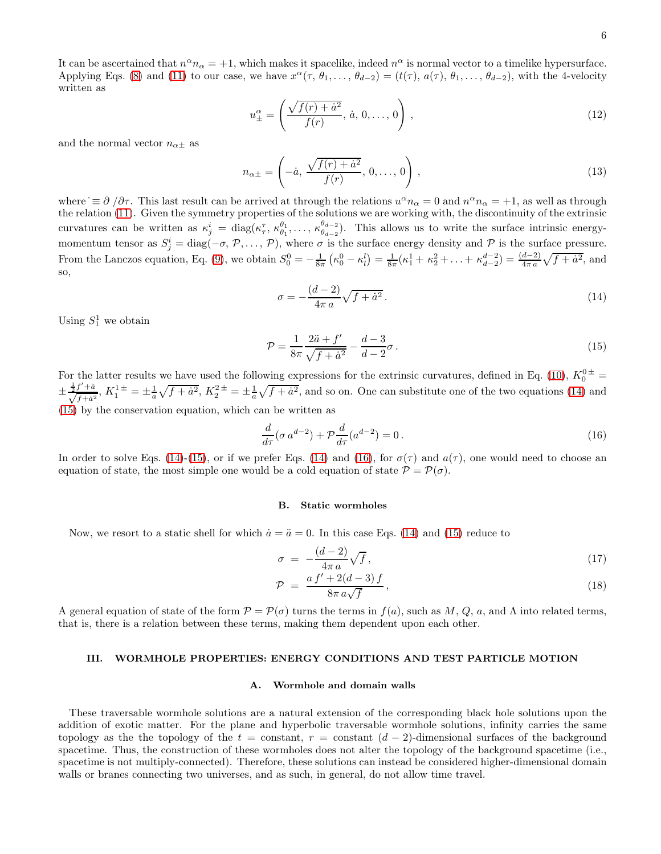<span id="page-5-5"></span>
$$
u_{\pm}^{\alpha} = \left(\frac{\sqrt{f(r) + a^2}}{f(r)}, \, \dot{a}, \, 0, \dots, 0\right),\tag{12}
$$

and the normal vector  $n_{\alpha\pm}$  as

$$
n_{\alpha \pm} = \left( -\dot{a}, \frac{\sqrt{f(r) + \dot{a}^2}}{f(r)}, 0, \dots, 0 \right),
$$
\n(13)

where  $\equiv \partial / \partial \tau$ . This last result can be arrived at through the relations  $u^{\alpha} n_{\alpha} = 0$  and  $n^{\alpha} n_{\alpha} = +1$ , as well as through the relation [\(11\)](#page-4-1). Given the symmetry properties of the solutions we are working with, the discontinuity of the extrinsic curvatures can be written as  $\kappa_j^i = \text{diag}(\kappa_\tau^\tau, \kappa_{\theta_1}^{\theta_1}, \ldots, \kappa_{\theta_{d-2}}^{\theta_{d-2}})$  $\theta_{d-2}^{(d-2)}$ . This allows us to write the surface intrinsic energymomentum tensor as  $S_j^i = \text{diag}(-\sigma, \mathcal{P}, \ldots, \mathcal{P})$ , where  $\sigma$  is the surface energy density and  $\mathcal P$  is the surface pressure. From the Lanczos equation, Eq. [\(9\)](#page-4-2), we obtain  $S_0^0 = -\frac{1}{8\pi} (\kappa_0^0 - \kappa_1^1) = \frac{1}{8\pi} (\kappa_1^1 + \kappa_2^2 + \ldots + \kappa_{d-2}^{d-2}) = \frac{(d-2)}{4\pi a} \sqrt{f + a^2}$ , and so,

<span id="page-5-1"></span>
$$
\sigma = -\frac{(d-2)}{4\pi a} \sqrt{f + \dot{a}^2} \,. \tag{14}
$$

Using  $S_1^1$  we obtain

<span id="page-5-2"></span>
$$
\mathcal{P} = \frac{1}{8\pi} \frac{2\ddot{a} + f'}{\sqrt{f + \dot{a}^2}} - \frac{d - 3}{d - 2}\sigma.
$$
\n(15)

For the latter results we have used the following expressions for the extrinsic curvatures, defined in Eq. [\(10\)](#page-4-3),  $K_0^{0,\pm}$  =  $\pm \frac{\frac{1}{2}f'+\ddot{a}}{\sqrt{f+\dot{a}^2}}$ ,  $K_1^1{}^{\pm} = \pm \frac{1}{a}\sqrt{f+\dot{a}^2}$ ,  $K_2^2{}^{\pm} = \pm \frac{1}{a}\sqrt{f+\dot{a}^2}$ , and so on. One can substitute one of the two equations [\(14\)](#page-5-1) and [\(15\)](#page-5-2) by the conservation equation, which can be written as

<span id="page-5-3"></span>
$$
\frac{d}{d\tau}(\sigma a^{d-2}) + \mathcal{P}\frac{d}{d\tau}(a^{d-2}) = 0.
$$
\n(16)

In order to solve Eqs. [\(14\)](#page-5-1)-[\(15\)](#page-5-2), or if we prefer Eqs. (14) and [\(16\)](#page-5-3), for  $\sigma(\tau)$  and  $a(\tau)$ , one would need to choose an equation of state, the most simple one would be a cold equation of state  $\mathcal{P} = \mathcal{P}(\sigma)$ .

### <span id="page-5-6"></span>B. Static wormholes

Now, we resort to a static shell for which  $\dot{a} = \ddot{a} = 0$ . In this case Eqs. [\(14\)](#page-5-1) and [\(15\)](#page-5-2) reduce to

<span id="page-5-4"></span>
$$
\sigma = -\frac{(d-2)}{4\pi a} \sqrt{f},\qquad(17)
$$

$$
\mathcal{P} = \frac{af' + 2(d - 3)f}{8\pi a\sqrt{f}},\tag{18}
$$

A general equation of state of the form  $\mathcal{P} = \mathcal{P}(\sigma)$  turns the terms in  $f(a)$ , such as  $M, Q, a$ , and  $\Lambda$  into related terms, that is, there is a relation between these terms, making them dependent upon each other.

# <span id="page-5-0"></span>III. WORMHOLE PROPERTIES: ENERGY CONDITIONS AND TEST PARTICLE MOTION

### A. Wormhole and domain walls

These traversable wormhole solutions are a natural extension of the corresponding black hole solutions upon the addition of exotic matter. For the plane and hyperbolic traversable wormhole solutions, infinity carries the same topology as the the topology of the  $t = constant$ ,  $r = constant$  ( $d - 2$ )-dimensional surfaces of the background spacetime. Thus, the construction of these wormholes does not alter the topology of the background spacetime (i.e., spacetime is not multiply-connected). Therefore, these solutions can instead be considered higher-dimensional domain walls or branes connecting two universes, and as such, in general, do not allow time travel.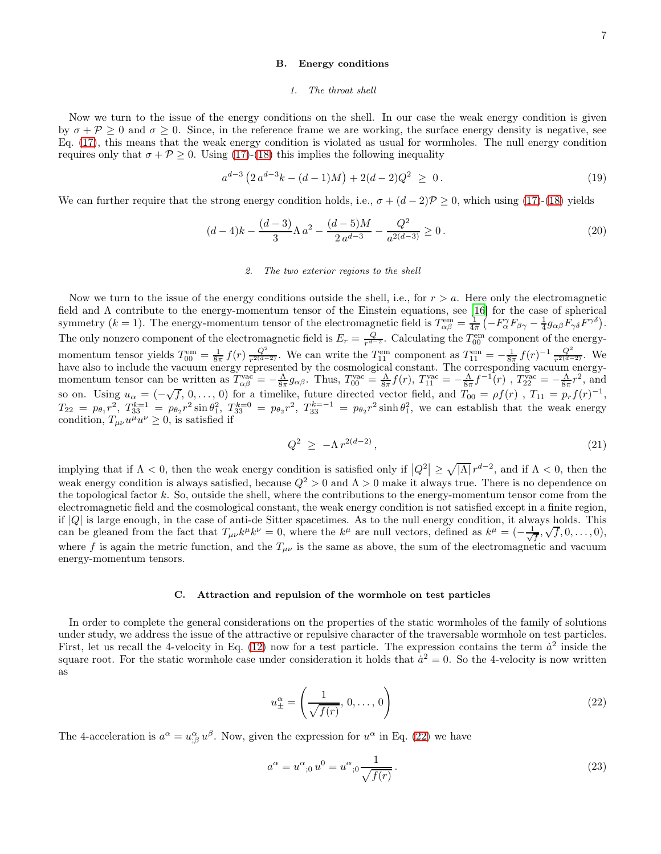### B. Energy conditions

#### 1. The throat shell

Now we turn to the issue of the energy conditions on the shell. In our case the weak energy condition is given by  $\sigma + P \geq 0$  and  $\sigma \geq 0$ . Since, in the reference frame we are working, the surface energy density is negative, see Eq. [\(17\)](#page-5-4), this means that the weak energy condition is violated as usual for wormholes. The null energy condition requires only that  $\sigma + \mathcal{P} \geq 0$ . Using [\(17\)](#page-5-4)-[\(18\)](#page-5-4) this implies the following inequality

$$
a^{d-3} \left( 2 \, a^{d-3} k - (d-1) M \right) + 2(d-2) Q^2 \ \ge \ 0 \,. \tag{19}
$$

We can further require that the strong energy condition holds, i.e.,  $\sigma + (d-2)\mathcal{P} \geq 0$ , which using [\(17\)](#page-5-4)-[\(18\)](#page-5-4) yields

$$
(d-4)k - \frac{(d-3)}{3}\Lambda a^2 - \frac{(d-5)M}{2a^{d-3}} - \frac{Q^2}{a^{2(d-3)}} \ge 0.
$$
\n(20)

### 2. The two exterior regions to the shell

Now we turn to the issue of the energy conditions outside the shell, i.e., for  $r > a$ . Here only the electromagnetic field and Λ contribute to the energy-momentum tensor of the Einstein equations, see [\[16\]](#page-14-11) for the case of spherical symmetry (k = 1). The energy-momentum tensor of the electromagnetic field is  $T_{\alpha\beta}^{\text{em}} = \frac{1}{4\pi} \left( -F_{\alpha}^{\gamma} F_{\beta\gamma} - \frac{1}{4} g_{\alpha\beta} F_{\gamma\delta} F^{\gamma\delta} \right)$ . The only nonzero component of the electromagnetic field is  $E_r = \frac{Q}{r^{d-2}}$ . Calculating the  $T_{00}^{\text{em}}$  $\frac{Q}{r^{d-2}}$ . Calculating the  $T_{00}^{\text{em}}$  component of the energymomentum tensor yields  $T_{00}^{\text{em}} = \frac{1}{8\pi} f(r) \frac{Q^2}{r^{2(d-1)}}$  $\frac{Q^2}{r^{2(d-2)}}$ . We can write the  $T_{11}^{\text{em}}$  component as  $T_{11}^{\text{em}} = -\frac{1}{8\pi} f(r)^{-1} \frac{Q^2}{r^{2(d-2)}}$ . We have also to include the vacuum energy represented by the cosmological constant. The corresponding vacuum energymomentum tensor can be written as  $T_{\alpha\beta}^{\text{vac}} = -\frac{\Lambda}{8\pi} g_{\alpha\beta}$ . Thus,  $T_{00}^{\text{vac}} = \frac{\Lambda}{8\pi} f(r)$ ,  $T_{11}^{\text{vac}} = -\frac{\Lambda}{8\pi} f^{-1}(r)$ ,  $T_{22}^{\text{vac}} = -\frac{\Lambda}{8\pi} r^2$ , and so on. Using  $u_{\alpha} = (-\sqrt{f}, 0, \dots, 0)$  for a timelike, future directed vector field, and  $T_{00} = \rho f(r)$ ,  $T_{11} = p_r f(r)^{-1}$ ,  $T_{22} = p_{\theta_1} r^2$ ,  $T_{33}^{k=1} = p_{\theta_2} r^2 \sin \theta_1^2$ ,  $T_{33}^{k=0} = p_{\theta_2} r^2$ ,  $T_{33}^{k=-1} = p_{\theta_2} r^2 \sinh \theta_1^2$ , we can establish that the weak energy condition,  $T_{\mu\nu}u^{\mu}u^{\nu} \geq 0$ , is satisfied if

$$
Q^2 \ge -\Lambda r^{2(d-2)}, \tag{21}
$$

implying that if  $\Lambda < 0$ , then the weak energy condition is satisfied only if  $|Q^2| \ge \sqrt{|\Lambda|} r^{d-2}$ , and if  $\Lambda < 0$ , then the weak energy condition is always satisfied, because  $Q^2 > 0$  and  $\Lambda > 0$  make it always true. There is no dependence on the topological factor  $k$ . So, outside the shell, where the contributions to the energy-momentum tensor come from the electromagnetic field and the cosmological constant, the weak energy condition is not satisfied except in a finite region, if  $|Q|$  is large enough, in the case of anti-de Sitter spacetimes. As to the null energy condition, it always holds. This can be gleaned from the fact that  $T_{\mu\nu}k^{\mu}k^{\nu} = 0$ , where the  $k^{\mu}$  are null vectors, defined as  $k^{\mu} = (-\frac{1}{\sqrt{f}}, \sqrt{f}, 0, \dots, 0)$ , where f is again the metric function, and the  $T_{\mu\nu}$  is the same as above, the sum of the electromagnetic and vacuum energy-momentum tensors.

#### C. Attraction and repulsion of the wormhole on test particles

In order to complete the general considerations on the properties of the static wormholes of the family of solutions under study, we address the issue of the attractive or repulsive character of the traversable wormhole on test particles. First, let us recall the 4-velocity in Eq. [\(12\)](#page-5-5) now for a test particle. The expression contains the term  $\dot{a}^2$  inside the square root. For the static wormhole case under consideration it holds that  $\dot{a}^2 = 0$ . So the 4-velocity is now written as

<span id="page-6-0"></span>
$$
u_{\pm}^{\alpha} = \left(\frac{1}{\sqrt{f(r)}}, 0, \dots, 0\right)
$$
 (22)

The 4-acceleration is  $a^{\alpha} = u^{\alpha}_{;\beta} u^{\beta}$ . Now, given the expression for  $u^{\alpha}$  in Eq. [\(22\)](#page-6-0) we have

$$
a^{\alpha} = u^{\alpha},_{0} u^{0} = u^{\alpha},_{0} \frac{1}{\sqrt{f(r)}}.
$$
\n(23)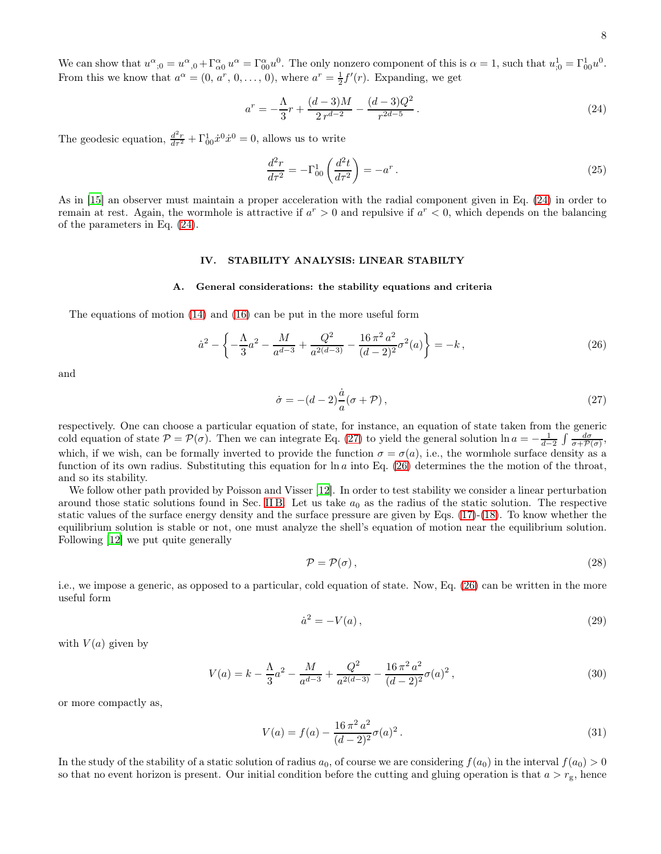8

We can show that  $u^{\alpha}_{;0} = u^{\alpha}_{,0} + \Gamma^{\alpha}_{\alpha 0} u^{\alpha} = \Gamma^{\alpha}_{0 0} u^{0}$ . The only nonzero component of this is  $\alpha = 1$ , such that  $u^1_{;0} = \Gamma^1_{0 0} u^{0}$ . From this we know that  $a^{\alpha} = (0, a^r, 0, \dots, 0)$ , where  $a^r = \frac{1}{2}f'(r)$ . Expanding, we get

<span id="page-7-1"></span>
$$
a^r = -\frac{\Lambda}{3}r + \frac{(d-3)M}{2r^{d-2}} - \frac{(d-3)Q^2}{r^{2d-5}}.
$$
\n(24)

The geodesic equation,  $\frac{d^2r}{dr^2} + \Gamma^1_{00}\dot{x}^0 \dot{x}^0 = 0$ , allows us to write

$$
\frac{d^2r}{d\tau^2} = -\Gamma_{00}^1 \left( \frac{d^2t}{d\tau^2} \right) = -a^r \,. \tag{25}
$$

As in [\[15\]](#page-14-10) an observer must maintain a proper acceleration with the radial component given in Eq. [\(24\)](#page-7-1) in order to remain at rest. Again, the wormhole is attractive if  $a^r > 0$  and repulsive if  $a^r < 0$ , which depends on the balancing of the parameters in Eq. [\(24\)](#page-7-1).

# <span id="page-7-0"></span>IV. STABILITY ANALYSIS: LINEAR STABILTY

### A. General considerations: the stability equations and criteria

The equations of motion [\(14\)](#page-5-1) and [\(16\)](#page-5-3) can be put in the more useful form

<span id="page-7-3"></span>
$$
\dot{a}^2 - \left\{ -\frac{\Lambda}{3}a^2 - \frac{M}{a^{d-3}} + \frac{Q^2}{a^{2(d-3)}} - \frac{16\pi^2 a^2}{(d-2)^2} \sigma^2(a) \right\} = -k \,,\tag{26}
$$

and

<span id="page-7-2"></span>
$$
\dot{\sigma} = -(d-2)\frac{\dot{a}}{a}(\sigma + \mathcal{P}),\tag{27}
$$

respectively. One can choose a particular equation of state, for instance, an equation of state taken from the generic cold equation of state  $\mathcal{P} = \mathcal{P}(\sigma)$ . Then we can integrate Eq. [\(27\)](#page-7-2) to yield the general solution  $\ln a = -\frac{1}{d-2} \int \frac{d\sigma}{\sigma + \mathcal{P}(\sigma)}$ , which, if we wish, can be formally inverted to provide the function  $\sigma = \sigma(a)$ , i.e., the wormhole surface density as a function of its own radius. Substituting this equation for  $\ln a$  into Eq. [\(26\)](#page-7-3) determines the the motion of the throat, and so its stability.

We follow other path provided by Poisson and Visser [\[12](#page-14-7)]. In order to test stability we consider a linear perturbation around those static solutions found in Sec. IIB. Let us take  $a_0$  as the radius of the static solution. The respective static values of the surface energy density and the surface pressure are given by Eqs. [\(17\)](#page-5-4)-[\(18\)](#page-5-4). To know whether the equilibrium solution is stable or not, one must analyze the shell's equation of motion near the equilibrium solution. Following [\[12](#page-14-7)] we put quite generally

<span id="page-7-5"></span>
$$
\mathcal{P} = \mathcal{P}(\sigma),\tag{28}
$$

i.e., we impose a generic, as opposed to a particular, cold equation of state. Now, Eq. [\(26\)](#page-7-3) can be written in the more useful form

<span id="page-7-4"></span>
$$
\dot{a}^2 = -V(a),\tag{29}
$$

with  $V(a)$  given by

$$
V(a) = k - \frac{\Lambda}{3}a^2 - \frac{M}{a^{d-3}} + \frac{Q^2}{a^{2(d-3)}} - \frac{16\pi^2 a^2}{(d-2)^2} \sigma(a)^2,
$$
\n(30)

or more compactly as,

$$
V(a) = f(a) - \frac{16 \pi^2 a^2}{(d-2)^2} \sigma(a)^2.
$$
 (31)

In the study of the stability of a static solution of radius  $a_0$ , of course we are considering  $f(a_0)$  in the interval  $f(a_0) > 0$ so that no event horizon is present. Our initial condition before the cutting and gluing operation is that  $a > r<sub>g</sub>$ , hence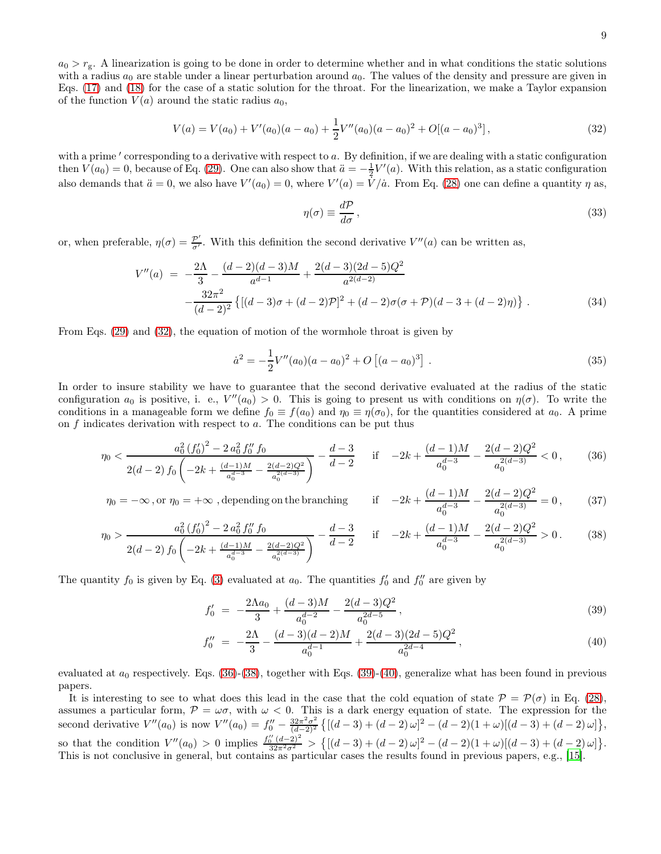$a_0 > r_g$ . A linearization is going to be done in order to determine whether and in what conditions the static solutions with a radius  $a_0$  are stable under a linear perturbation around  $a_0$ . The values of the density and pressure are given in Eqs. [\(17\)](#page-5-4) and [\(18\)](#page-5-4) for the case of a static solution for the throat. For the linearization, we make a Taylor expansion of the function  $V(a)$  around the static radius  $a_0$ ,

<span id="page-8-0"></span>
$$
V(a) = V(a_0) + V'(a_0)(a - a_0) + \frac{1}{2}V''(a_0)(a - a_0)^2 + O[(a - a_0)^3],
$$
\n(32)

with a prime  $'$  corresponding to a derivative with respect to  $a$ . By definition, if we are dealing with a static configuration then  $V(a_0) = 0$ , because of Eq. [\(29\)](#page-7-4). One can also show that  $\ddot{a} = -\frac{1}{2}V'(a)$ . With this relation, as a static configuration also demands that  $\ddot{a}=0$ , we also have  $V'(a)=0$ , where  $V'(a)=\dot{V}/\dot{a}$ . From Eq. [\(28\)](#page-7-5) one can define a quantity  $\eta$  as,

$$
\eta(\sigma) \equiv \frac{d\mathcal{P}}{d\sigma},\tag{33}
$$

or, when preferable,  $\eta(\sigma) = \frac{\mathcal{P}'}{\sigma'}$  $\frac{p}{\sigma'}$ . With this definition the second derivative  $V''(a)$  can be written as,

$$
V''(a) = -\frac{2\Lambda}{3} - \frac{(d-2)(d-3)M}{a^{d-1}} + \frac{2(d-3)(2d-5)Q^2}{a^{2(d-2)}} - \frac{32\pi^2}{(d-2)^2} \{ [(d-3)\sigma + (d-2)\mathcal{P}]^2 + (d-2)\sigma(\sigma + \mathcal{P})(d-3 + (d-2)\eta) \}.
$$
 (34)

From Eqs. [\(29\)](#page-7-4) and [\(32\)](#page-8-0), the equation of motion of the wormhole throat is given by

$$
\dot{a}^2 = -\frac{1}{2}V''(a_0)(a - a_0)^2 + O\left[ (a - a_0)^3 \right]. \tag{35}
$$

In order to insure stability we have to guarantee that the second derivative evaluated at the radius of the static configuration  $a_0$  is positive, i. e.,  $V''(a_0) > 0$ . This is going to present us with conditions on  $\eta(\sigma)$ . To write the conditions in a manageable form we define  $f_0 \equiv f(a_0)$  and  $\eta_0 \equiv \eta(\sigma_0)$ , for the quantities considered at  $a_0$ . A prime on  $f$  indicates derivation with respect to  $a$ . The conditions can be put thus

<span id="page-8-1"></span>
$$
\eta_0 < \frac{a_0^2 \left(f_0'\right)^2 - 2 a_0^2 f_0'' f_0}{2(d-2) f_0 \left(-2k + \frac{(d-1)M}{a_0^{d-3}} - \frac{2(d-2)Q^2}{a_0^{2(d-3)}}\right)} - \frac{d-3}{d-2} \quad \text{if} \quad -2k + \frac{(d-1)M}{a_0^{d-3}} - \frac{2(d-2)Q^2}{a_0^{2(d-3)}} < 0,\tag{36}
$$

 $\eta_0 = -\infty$  , or  $\eta_0 = +\infty$  , depending on the branching  $(d-1)M$  $\frac{(-1)M}{a_0^{d-3}} - \frac{2(d-2)Q^2}{a_0^{2(d-3)}}$  $a_0^{2(d-3)}$  $= 0,$  (37)

$$
\eta_0 > \frac{a_0^2 \left(f_0'\right)^2 - 2 a_0^2 f_0'' f_0}{2(d-2) f_0 \left(-2k + \frac{(d-1)M}{a_0^{d-3}} - \frac{2(d-2)Q^2}{a_0^{2(d-3)}}\right)} - \frac{d-3}{d-2} \quad \text{if} \quad -2k + \frac{(d-1)M}{a_0^{d-3}} - \frac{2(d-2)Q^2}{a_0^{2(d-3)}} > 0. \tag{38}
$$

The quantity  $f_0$  is given by Eq. [\(3\)](#page-3-2) evaluated at  $a_0$ . The quantities  $f'_0$  and  $f''_0$  are given by

<span id="page-8-2"></span>
$$
f_0' = -\frac{2\Lambda a_0}{3} + \frac{(d-3)M}{a_0^{d-2}} - \frac{2(d-3)Q^2}{a_0^{2d-5}},
$$
\n(39)

$$
f_0'' = -\frac{2\Lambda}{3} - \frac{(d-3)(d-2)M}{a_0^{d-1}} + \frac{2(d-3)(2d-5)Q^2}{a_0^{2d-4}},
$$
\n(40)

evaluated at  $a_0$  respectively. Eqs. [\(36\)](#page-8-1)-[\(38\)](#page-8-1), together with Eqs. [\(39\)](#page-8-2)-[\(40\)](#page-8-2), generalize what has been found in previous papers.

It is interesting to see to what does this lead in the case that the cold equation of state  $\mathcal{P} = \mathcal{P}(\sigma)$  in Eq. [\(28\)](#page-7-5), assumes a particular form,  $P = \omega \sigma$ , with  $\omega < 0$ . This is a dark energy equation of state. The expression for the second derivative  $V''(a_0)$  is now  $V''(a_0) = f''_0 - \frac{32\pi^2 \sigma^2}{(d-2)^2}$  $\frac{32\pi^2\sigma^2}{(d-2)^2}\left\{ \left[ (d-3)+(d-2)\,\omega \right]^2- (d-2)(1+\omega) [(d-3)+(d-2)\,\omega] \right\},$ so that the condition  $V''(a_0) > 0$  implies  $\frac{f''_0(d-2)^2}{32\pi^2\sigma^2} > \{[(d-3)+(d-2)\omega]^2-(d-2)(1+\omega)[(d-3)+(d-2)\omega]\}.$ This is not conclusive in general, but contains as particular cases the results found in previous papers, e.g., [\[15](#page-14-10)].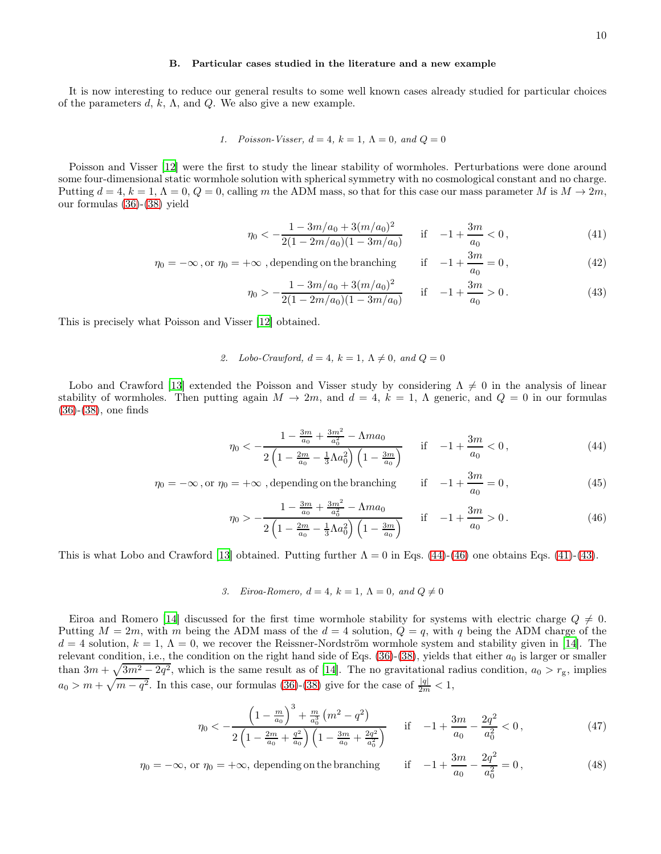# B. Particular cases studied in the literature and a new example

It is now interesting to reduce our general results to some well known cases already studied for particular choices of the parameters  $d, k, \Lambda$ , and  $Q$ . We also give a new example.

1. Poisson-Visser, 
$$
d = 4
$$
,  $k = 1$ ,  $\Lambda = 0$ , and  $Q = 0$ 

Poisson and Visser [\[12\]](#page-14-7) were the first to study the linear stability of wormholes. Perturbations were done around some four-dimensional static wormhole solution with spherical symmetry with no cosmological constant and no charge. Putting  $d = 4$ ,  $k = 1$ ,  $\Lambda = 0$ ,  $Q = 0$ , calling m the ADM mass, so that for this case our mass parameter M is  $M \to 2m$ , our formulas [\(36\)](#page-8-1)-[\(38\)](#page-8-1) yield

<span id="page-9-1"></span>
$$
\eta_0 < -\frac{1 - 3m/a_0 + 3(m/a_0)^2}{2(1 - 2m/a_0)(1 - 3m/a_0)} \quad \text{if} \quad -1 + \frac{3m}{a_0} < 0 \,, \tag{41}
$$

 $\eta_0 = -\infty$ , or  $\eta_0 = +\infty$ , depending on the branching if  $-1 + \frac{3m}{a_0}$  $\frac{3m}{a_0} = 0,$  (42)

$$
\eta_0 > -\frac{1 - 3m/a_0 + 3(m/a_0)^2}{2(1 - 2m/a_0)(1 - 3m/a_0)} \quad \text{if} \quad -1 + \frac{3m}{a_0} > 0. \tag{43}
$$

This is precisely what Poisson and Visser [\[12](#page-14-7)] obtained.

# 2. Lobo-Crawford,  $d = 4$ ,  $k = 1$ ,  $\Lambda \neq 0$ , and  $Q = 0$

Lobo and Crawford [\[13\]](#page-14-8) extended the Poisson and Visser study by considering  $\Lambda \neq 0$  in the analysis of linear stability of wormholes. Then putting again  $M \to 2m$ , and  $d = 4$ ,  $k = 1$ ,  $\Lambda$  generic, and  $Q = 0$  in our formulas [\(36\)](#page-8-1)-[\(38\)](#page-8-1), one finds

<span id="page-9-0"></span>
$$
\eta_0 < -\frac{1 - \frac{3m}{a_0} + \frac{3m^2}{a_0^2} - \Lambda m a_0}{2\left(1 - \frac{2m}{a_0} - \frac{1}{3}\Lambda a_0^2\right)\left(1 - \frac{3m}{a_0}\right)} \quad \text{if} \quad -1 + \frac{3m}{a_0} < 0 \,, \tag{44}
$$

$$
\eta_0 = -\infty \text{, or } \eta_0 = +\infty \text{ , depending on the branching} \qquad \text{if} \quad -1 + \frac{3m}{a_0} = 0 \tag{45}
$$

$$
\eta_0 > -\frac{1 - \frac{3m}{a_0} + \frac{3m^2}{a_0^2} - \Lambda m a_0}{2\left(1 - \frac{2m}{a_0} - \frac{1}{3}\Lambda a_0^2\right)\left(1 - \frac{3m}{a_0}\right)} \quad \text{if} \quad -1 + \frac{3m}{a_0} > 0. \tag{46}
$$

This is what Lobo and Crawford [\[13\]](#page-14-8) obtained. Putting further  $\Lambda = 0$  in Eqs. [\(44\)](#page-9-0)-[\(46\)](#page-9-0) one obtains Eqs. [\(41\)](#page-9-1)-[\(43\)](#page-9-1).

3. Eiroa-Romero,  $d = 4$ ,  $k = 1$ ,  $\Lambda = 0$ , and  $Q \neq 0$ 

Eiroa and Romero [\[14\]](#page-14-9) discussed for the first time wormhole stability for systems with electric charge  $Q \neq 0$ . Putting  $M = 2m$ , with m being the ADM mass of the  $d = 4$  solution,  $Q = q$ , with q being the ADM charge of the  $d = 4$  solution,  $k = 1, \Lambda = 0$ , we recover the Reissner-Nordström wormhole system and stability given in [\[14\]](#page-14-9). The relevant condition, i.e., the condition on the right hand side of Eqs.  $(36)-(38)$  $(36)-(38)$ , yields that either  $a_0$  is larger or smaller than  $3m + \sqrt{3m^2 - 2q^2}$ , which is the same result as of [\[14](#page-14-9)]. The no gravitational radius condition,  $a_0 > r_g$ , implies  $a_0 > m + \sqrt{m - q^2}$ . In this case, our formulas [\(36\)](#page-8-1)-[\(38\)](#page-8-1) give for the case of  $\frac{|q|}{2m} < 1$ ,

<span id="page-9-2"></span>
$$
\eta_0 < -\frac{\left(1 - \frac{m}{a_0}\right)^3 + \frac{m}{a_0^3} \left(m^2 - q^2\right)}{2\left(1 - \frac{2m}{a_0} + \frac{q^2}{a_0}\right) \left(1 - \frac{3m}{a_0} + \frac{2q^2}{a_0^2}\right)} \quad \text{if} \quad -1 + \frac{3m}{a_0} - \frac{2q^2}{a_0^2} < 0 \,, \tag{47}
$$

$$
\eta_0 = -\infty
$$
, or  $\eta_0 = +\infty$ , depending on the branching if  $-1 + \frac{3m}{a_0} - \frac{2q^2}{a_0^2} = 0$ , (48)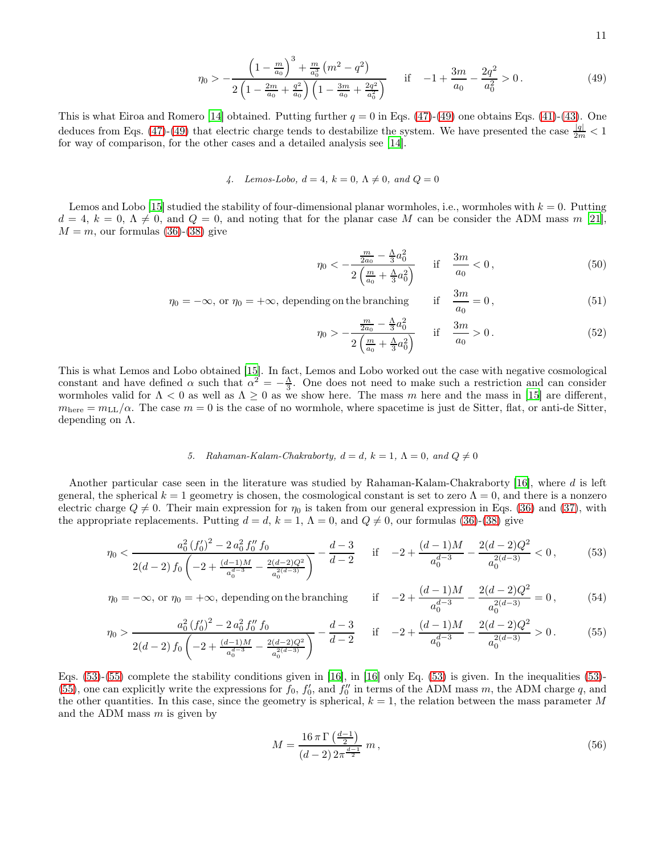11

$$
\eta_0 > -\frac{\left(1 - \frac{m}{a_0}\right)^3 + \frac{m}{a_0^3} \left(m^2 - q^2\right)}{2\left(1 - \frac{2m}{a_0} + \frac{q^2}{a_0}\right) \left(1 - \frac{3m}{a_0} + \frac{2q^2}{a_0^2}\right)} \quad \text{if} \quad -1 + \frac{3m}{a_0} - \frac{2q^2}{a_0^2} > 0. \tag{49}
$$

This is what Eiroa and Romero [\[14\]](#page-14-9) obtained. Putting further  $q = 0$  in Eqs. [\(47\)](#page-9-2)-[\(49\)](#page-9-2) one obtains Eqs. [\(41\)](#page-9-1)-[\(43\)](#page-9-1). One deduces from Eqs. [\(47\)](#page-9-2)-[\(49\)](#page-9-2) that electric charge tends to destabilize the system. We have presented the case  $\frac{|q|}{2m}$  < 1 for way of comparison, for the other cases and a detailed analysis see [\[14](#page-14-9)].

4. Lemos-Lobo,  $d = 4$ ,  $k = 0$ ,  $\Lambda \neq 0$ , and  $Q = 0$ 

Lemos and Lobo [\[15\]](#page-14-10) studied the stability of four-dimensional planar wormholes, i.e., wormholes with  $k = 0$ . Putting  $d = 4, k = 0, \Lambda \neq 0$ , and  $Q = 0$ , and noting that for the planar case M can be consider the ADM mass m [\[21\]](#page-15-3),  $M = m$ , our formulas [\(36\)](#page-8-1)-[\(38\)](#page-8-1) give

$$
\eta_0 < -\frac{\frac{m}{2a_0} - \frac{\Lambda}{3}a_0^2}{2\left(\frac{m}{a_0} + \frac{\Lambda}{3}a_0^2\right)} \quad \text{if} \quad \frac{3m}{a_0} < 0 \,, \tag{50}
$$

 $\eta_0 = -\infty$ , or  $\eta_0 = +\infty$ , depending on the branching  $\frac{3m}{a_0} = 0,$  (51)

$$
\eta_0 > -\frac{\frac{m}{2a_0} - \frac{\Lambda}{3}a_0^2}{2\left(\frac{m}{a_0} + \frac{\Lambda}{3}a_0^2\right)} \quad \text{if} \quad \frac{3m}{a_0} > 0. \tag{52}
$$

This is what Lemos and Lobo obtained [\[15\]](#page-14-10). In fact, Lemos and Lobo worked out the case with negative cosmological constant and have defined  $\alpha$  such that  $\alpha^2 = -\frac{\Lambda}{3}$ . One does not need to make such a restriction and can consider wormholes valid for  $\Lambda < 0$  as well as  $\Lambda \geq 0$  as we show here. The mass m here and the mass in [\[15\]](#page-14-10) are different,  $m<sub>here</sub> = m<sub>LL</sub>/\alpha$ . The case  $m = 0$  is the case of no wormhole, where spacetime is just de Sitter, flat, or anti-de Sitter, depending on Λ.

### 5. Rahaman-Kalam-Chakraborty,  $d = d$ ,  $k = 1$ ,  $\Lambda = 0$ , and  $Q \neq 0$

Another particular case seen in the literature was studied by Rahaman-Kalam-Chakraborty [\[16\]](#page-14-11), where d is left general, the spherical  $k = 1$  geometry is chosen, the cosmological constant is set to zero  $\Lambda = 0$ , and there is a nonzero electric charge  $Q \neq 0$ . Their main expression for  $\eta_0$  is taken from our general expression in Eqs. [\(36\)](#page-8-1) and [\(37\)](#page-8-1), with the appropriate replacements. Putting  $d = d$ ,  $k = 1$ ,  $\Lambda = 0$ , and  $Q \neq 0$ , our formulas [\(36\)](#page-8-1)-[\(38\)](#page-8-1) give

<span id="page-10-0"></span>
$$
\eta_0 < \frac{a_0^2 \left(f_0'\right)^2 - 2a_0^2 f_0'' f_0}{2(d-2) f_0 \left(-2 + \frac{(d-1)M}{a_0^{d-3}} - \frac{2(d-2)Q^2}{a_0^{d-3}}\right)} - \frac{d-3}{d-2} \quad \text{if} \quad -2 + \frac{(d-1)M}{a_0^{d-3}} - \frac{2(d-2)Q^2}{a_0^{2(d-3)}} < 0,\tag{53}
$$

 $\eta_0 = -\infty$ , or  $\eta_0 = +\infty$ , depending on the branching  $\frac{(d-1)M}{a^{d-3}} - \frac{2(d-2)Q^2}{a^2}$ 

g on the branching if 
$$
-2 + \frac{a^2 + b^2}{a_0^{d-3}} - \frac{a}{a_0^{2(d-3)}} = 0
$$
, (54)  

$$
\frac{a}{a_0} = \frac{d-3}{a_0^{2(d-3)}} \quad \text{if} \quad -2 + \frac{(d-1)M}{a_0^{2(d-3)}} - \frac{2(d-2)Q^2}{a_0^{2(d-3)}} > 0
$$
 (55)

$$
\eta_0 > \frac{a_0^2 \left(f_0'\right)^2 - 2 a_0^2 f_0'' f_0}{2(d-2) f_0 \left(-2 + \frac{(d-1)M}{a_0^{d-3}} - \frac{2(d-2)Q^2}{a_0^{2(d-3)}}\right)} - \frac{d-3}{d-2} \quad \text{if} \quad -2 + \frac{(d-1)M}{a_0^{d-3}} - \frac{2(d-2)Q^2}{a_0^{2(d-3)}} > 0. \tag{55}
$$

Eqs. [\(53\)](#page-10-0)-[\(55\)](#page-10-0) complete the stability conditions given in [\[16\]](#page-14-11), in [\[16\]](#page-14-11) only Eq. [\(53\)](#page-10-0) is given. In the inequalities [\(53\)](#page-10-0)- [\(55\)](#page-10-0), one can explicitly write the expressions for  $f_0$ ,  $f'_0$ , and  $f''_0$  in terms of the ADM mass m, the ADM charge q, and the other quantities. In this case, since the geometry is spherical,  $k = 1$ , the relation between the mass parameter M and the ADM mass  $m$  is given by

$$
M = \frac{16\,\pi\,\Gamma\left(\frac{d-1}{2}\right)}{(d-2)\,2\pi^{\frac{d-1}{2}}}m\,,\tag{56}
$$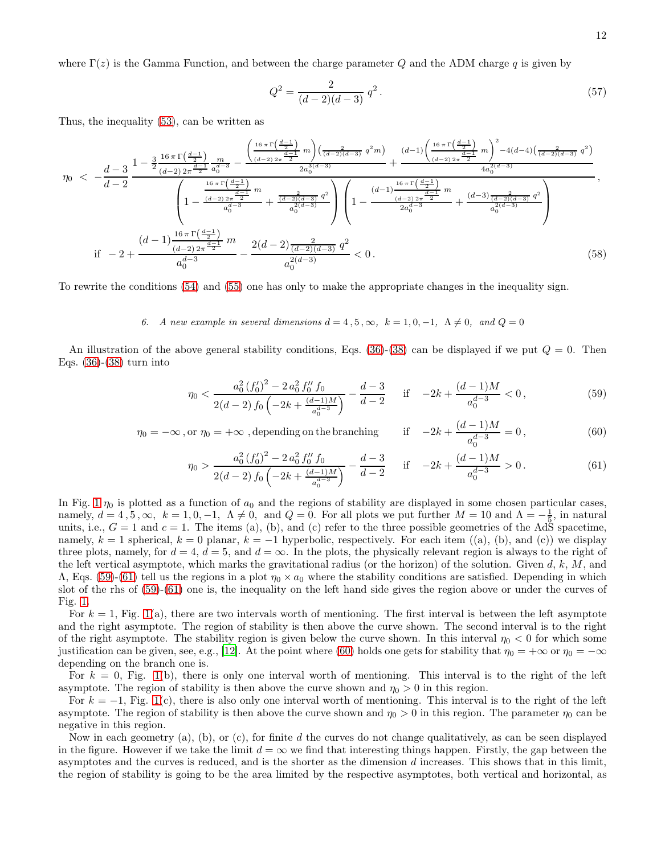where  $\Gamma(z)$  is the Gamma Function, and between the charge parameter Q and the ADM charge q is given by

$$
Q^2 = \frac{2}{(d-2)(d-3)} q^2.
$$
\n(57)

Thus, the inequality [\(53\)](#page-10-0), can be written as

$$
\eta_{0} \ < \ -\frac{d-3}{d-2} \frac{1-\frac{3}{2} \frac{16\,\pi\,\Gamma\left(\frac{d-1}{2}\right)}{(d-2)\,2\pi\frac{d-1}{2}} \frac{m}{a_{0}^{d-3}} - \frac{\left(\frac{16\,\pi\,\Gamma\left(\frac{d-1}{2}\right)}{(d-2)\,2\pi\frac{d-1}{2}} m\right)\left(\frac{2}{(d-2)(d-3)} \,q^{2}m\right)}{2a_{0}^{3(d-3)}} + \frac{(d-1)\left(\frac{16\,\pi\,\Gamma\left(\frac{d-1}{2}\right)}{(d-2)\,2\pi\frac{d-1}{2}} m\right)^{2} - 4(d-4)\left(\frac{2}{(d-2)(d-3)} \,q^{2}\right)}{4a_{0}^{2(d-3)}}}{4a_{0}^{2(d-3)} + \frac{\frac{16\,\pi\,\Gamma\left(\frac{d-1}{2}\right)}{(d-2)\,2\pi\frac{d-1}{2}} m}{a_{0}^{d-3}} + \frac{\frac{2}{(d-2)(d-3)} \,q^{2}}{a_{0}^{2(d-3)}}\right)}\left(1 - \frac{\frac{(d-1)\frac{16\,\pi\,\Gamma\left(\frac{d-1}{2}\right)}{(d-2)\,2\pi\frac{d-1}{2}} m}{2a_{0}^{d-3}} + \frac{\frac{(d-3)\,\frac{2}{(d-2)(d-3)} \,q^{2}}{a_{0}^{2(d-3)}}}{a_{0}^{2(d-3)}} + \frac{\frac{(d-3)\,\frac{2}{(d-2)(d-3)} \,q^{2}}{a_{0}^{2(d-3)}}}{a_{0}^{2(d-3)}}\right)}{a_{0}^{2(d-3)}}\right)
$$
\n(58)

To rewrite the conditions [\(54\)](#page-10-0) and [\(55\)](#page-10-0) one has only to make the appropriate changes in the inequality sign.

# 6. A new example in several dimensions  $d = 4, 5, \infty, k = 1, 0, -1, \Lambda \neq 0, \text{ and } Q = 0$

An illustration of the above general stability conditions, Eqs.  $(36)-(38)$  $(36)-(38)$  can be displayed if we put  $Q=0$ . Then Eqs. [\(36\)](#page-8-1)-[\(38\)](#page-8-1) turn into

<span id="page-11-0"></span>
$$
\eta_0 < \frac{a_0^2 \left(f_0'\right)^2 - 2 a_0^2 f_0'' f_0}{2(d-2) f_0 \left(-2k + \frac{(d-1)M}{a_0^{d-3}}\right)} - \frac{d-3}{d-2} \quad \text{if} \quad -2k + \frac{(d-1)M}{a_0^{d-3}} < 0,\tag{59}
$$

$$
\eta_0 = -\infty \text{, or } \eta_0 = +\infty \text{ , depending on the branching} \qquad \text{if} \quad -2k + \frac{(d-1)M}{a_0^{d-3}} = 0 \,, \tag{60}
$$

$$
\eta_0 > \frac{a_0^2 \left(f_0'\right)^2 - 2 a_0^2 f_0'' f_0}{2(d-2) f_0 \left(-2k + \frac{(d-1)M}{a_0^{d-3}}\right)} - \frac{d-3}{d-2} \quad \text{if} \quad -2k + \frac{(d-1)M}{a_0^{d-3}} > 0. \tag{61}
$$

In Fig. [1](#page-12-0)  $\eta_0$  is plotted as a function of  $a_0$  and the regions of stability are displayed in some chosen particular cases, namely,  $d = 4, 5, \infty$ ,  $k = 1, 0, -1$ ,  $\Lambda \neq 0$ , and  $Q = 0$ . For all plots we put further  $M = 10$  and  $\Lambda = -\frac{1}{5}$ , in natural units, i.e.,  $G = 1$  and  $c = 1$ . The items (a), (b), and (c) refer to the three possible geometries of the AdS spacetime, namely,  $k = 1$  spherical,  $k = 0$  planar,  $k = -1$  hyperbolic, respectively. For each item ((a), (b), and (c)) we display three plots, namely, for  $d = 4$ ,  $d = 5$ , and  $d = \infty$ . In the plots, the physically relevant region is always to the right of the left vertical asymptote, which marks the gravitational radius (or the horizon) of the solution. Given  $d, k, M$ , and  $\Lambda$ , Eqs. [\(59\)](#page-11-0)-[\(61\)](#page-11-0) tell us the regions in a plot  $\eta_0 \times a_0$  where the stability conditions are satisfied. Depending in which slot of the rhs of [\(59\)](#page-11-0)-[\(61\)](#page-11-0) one is, the inequality on the left hand side gives the region above or under the curves of Fig. [1.](#page-12-0)

For  $k = 1$ , Fig. [1\(](#page-12-0)a), there are two intervals worth of mentioning. The first interval is between the left asymptote and the right asymptote. The region of stability is then above the curve shown. The second interval is to the right of the right asymptote. The stability region is given below the curve shown. In this interval  $\eta_0 < 0$  for which some justification can be given, see, e.g., [\[12\]](#page-14-7). At the point where [\(60\)](#page-11-0) holds one gets for stability that  $\eta_0 = +\infty$  or  $\eta_0 = -\infty$ depending on the branch one is.

For  $k = 0$ , Fig. [1\(](#page-12-0)b), there is only one interval worth of mentioning. This interval is to the right of the left asymptote. The region of stability is then above the curve shown and  $\eta_0 > 0$  in this region.

For  $k = -1$ , Fig. [1\(](#page-12-0)c), there is also only one interval worth of mentioning. This interval is to the right of the left asymptote. The region of stability is then above the curve shown and  $\eta_0 > 0$  in this region. The parameter  $\eta_0$  can be negative in this region.

Now in each geometry (a), (b), or (c), for finite d the curves do not change qualitatively, as can be seen displayed in the figure. However if we take the limit  $d = \infty$  we find that interesting things happen. Firstly, the gap between the asymptotes and the curves is reduced, and is the shorter as the dimension d increases. This shows that in this limit, the region of stability is going to be the area limited by the respective asymptotes, both vertical and horizontal, as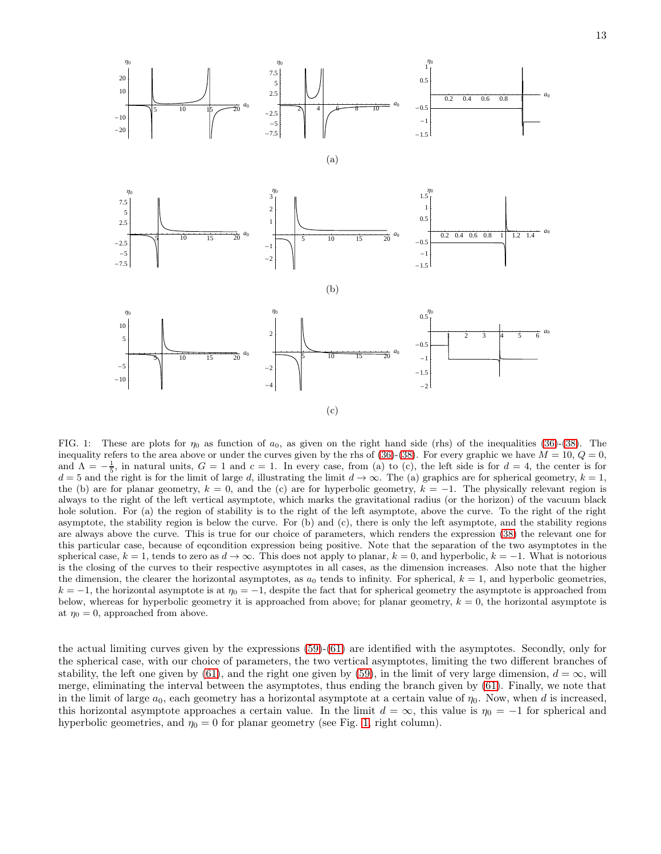

<span id="page-12-0"></span>FIG. 1: These are plots for  $\eta_0$  as function of  $a_0$ , as given on the right hand side (rhs) of the inequalities [\(36\)](#page-8-1)-[\(38\)](#page-8-1). The inequality refers to the area above or under the curves given by the rhs of [\(36\)](#page-8-1)-[\(38\)](#page-8-1). For every graphic we have  $M = 10$ ,  $Q = 0$ , and  $\Lambda = -\frac{1}{5}$ , in natural units,  $G = 1$  and  $c = 1$ . In every case, from (a) to (c), the left side is for  $d = 4$ , the center is for  $d = 5$  and the right is for the limit of large d, illustrating the limit  $d \rightarrow \infty$ . The (a) graphics are for spherical geometry,  $k = 1$ , the (b) are for planar geometry,  $k = 0$ , and the (c) are for hyperbolic geometry,  $k = -1$ . The physically relevant region is always to the right of the left vertical asymptote, which marks the gravitational radius (or the horizon) of the vacuum black hole solution. For (a) the region of stability is to the right of the left asymptote, above the curve. To the right of the right asymptote, the stability region is below the curve. For (b) and (c), there is only the left asymptote, and the stability regions are always above the curve. This is true for our choice of parameters, which renders the expression [\(38\)](#page-8-1) the relevant one for this particular case, because of eqcondition expression being positive. Note that the separation of the two asymptotes in the spherical case,  $k = 1$ , tends to zero as  $d \to \infty$ . This does not apply to planar,  $k = 0$ , and hyperbolic,  $k = -1$ . What is notorious is the closing of the curves to their respective asymptotes in all cases, as the dimension increases. Also note that the higher the dimension, the clearer the horizontal asymptotes, as  $a_0$  tends to infinity. For spherical,  $k = 1$ , and hyperbolic geometries,  $k = -1$ , the horizontal asymptote is at  $\eta_0 = -1$ , despite the fact that for spherical geometry the asymptote is approached from below, whereas for hyperbolic geometry it is approached from above; for planar geometry,  $k = 0$ , the horizontal asymptote is at  $\eta_0 = 0$ , approached from above.

the actual limiting curves given by the expressions [\(59\)](#page-11-0)-[\(61\)](#page-11-0) are identified with the asymptotes. Secondly, only for the spherical case, with our choice of parameters, the two vertical asymptotes, limiting the two different branches of stability, the left one given by [\(61\)](#page-11-0), and the right one given by [\(59\)](#page-11-0), in the limit of very large dimension,  $d = \infty$ , will merge, eliminating the interval between the asymptotes, thus ending the branch given by [\(61\)](#page-11-0). Finally, we note that in the limit of large  $a_0$ , each geometry has a horizontal asymptote at a certain value of  $\eta_0$ . Now, when d is increased, this horizontal asymptote approaches a certain value. In the limit  $d = \infty$ , this value is  $\eta_0 = -1$  for spherical and hyperbolic geometries, and  $\eta_0 = 0$  for planar geometry (see Fig. [1,](#page-12-0) right column).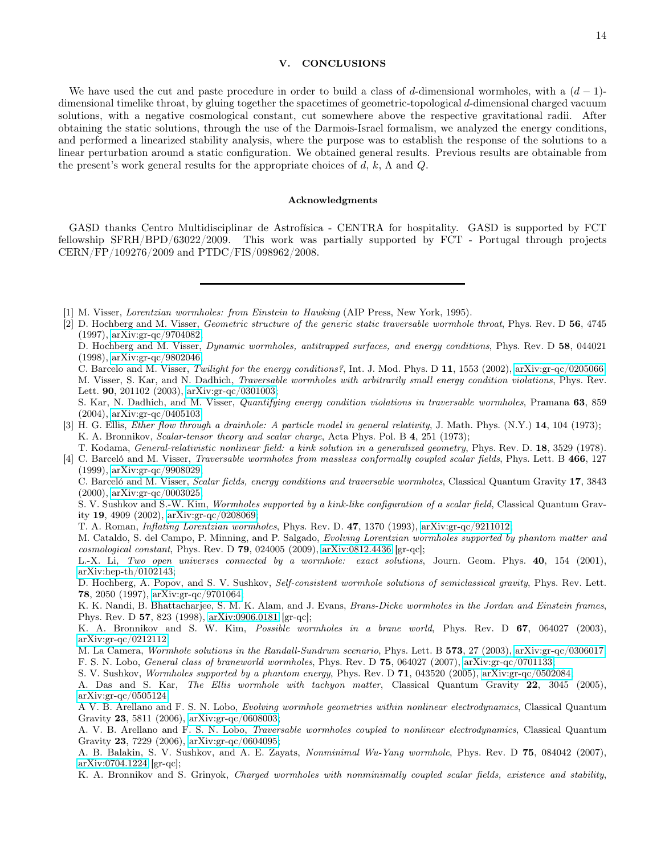## <span id="page-13-4"></span>V. CONCLUSIONS

We have used the cut and paste procedure in order to build a class of d-dimensional wormholes, with a  $(d-1)$ dimensional timelike throat, by gluing together the spacetimes of geometric-topological d-dimensional charged vacuum solutions, with a negative cosmological constant, cut somewhere above the respective gravitational radii. After obtaining the static solutions, through the use of the Darmois-Israel formalism, we analyzed the energy conditions, and performed a linearized stability analysis, where the purpose was to establish the response of the solutions to a linear perturbation around a static configuration. We obtained general results. Previous results are obtainable from the present's work general results for the appropriate choices of d, k,  $\Lambda$  and Q.

### Acknowledgments

GASD thanks Centro Multidisciplinar de Astrofísica - CENTRA for hospitality. GASD is supported by FCT fellowship SFRH/BPD/63022/2009. This work was partially supported by FCT - Portugal through projects CERN/FP/109276/2009 and PTDC/FIS/098962/2008.

<span id="page-13-0"></span>[1] M. Visser, Lorentzian wormholes: from Einstein to Hawking (AIP Press, New York, 1995).

<span id="page-13-1"></span>[2] D. Hochberg and M. Visser, Geometric structure of the generic static traversable wormhole throat, Phys. Rev. D 56, 4745

<span id="page-13-3"></span><span id="page-13-2"></span>[4] C. Barceló and M. Visser, *Traversable wormholes from massless conformally coupled scalar fields*, Phys. Lett. B 466, 127 (1999), [arXiv:gr-qc/9908029;](http://arxiv.org/abs/gr-qc/9908029)

C. Barceló and M. Visser, Scalar fields, energy conditions and traversable wormholes, Classical Quantum Gravity 17, 3843 (2000), [arXiv:gr-qc/0003025;](http://arxiv.org/abs/gr-qc/0003025)

S. V. Sushkov and S.-W. Kim, Wormholes supported by a kink-like configuration of a scalar field, Classical Quantum Gravity 19, 4909 (2002), [arXiv:gr-qc/0208069;](http://arxiv.org/abs/gr-qc/0208069)

T. A. Roman, Inflating Lorentzian wormholes, Phys. Rev. D. 47, 1370 (1993), [arXiv:gr-qc/9211012;](http://arxiv.org/abs/gr-qc/9211012)

M. Cataldo, S. del Campo, P. Minning, and P. Salgado, Evolving Lorentzian wormholes supported by phantom matter and cosmological constant, Phys. Rev. D **79**, 024005 (2009),  $arXiv:0812.4436$  [gr-qc];

L.-X. Li, Two open universes connected by a wormhole: exact solutions, Journ. Geom. Phys. 40, 154 (2001), [arXiv:hep-th/0102143;](http://arxiv.org/abs/hep-th/0102143)

D. Hochberg, A. Popov, and S. V. Sushkov, Self-consistent wormhole solutions of semiclassical gravity, Phys. Rev. Lett. 78, 2050 (1997), [arXiv:gr-qc/9701064;](http://arxiv.org/abs/gr-qc/9701064)

K. K. Nandi, B. Bhattacharjee, S. M. K. Alam, and J. Evans, Brans-Dicke wormholes in the Jordan and Einstein frames, Phys. Rev. D 57, 823 (1998), [arXiv:0906.0181](http://arxiv.org/abs/0906.0181) [gr-qc];

M. La Camera, Wormhole solutions in the Randall-Sundrum scenario, Phys. Lett. B 573, 27 (2003), [arXiv:gr-qc/0306017;](http://arxiv.org/abs/gr-qc/0306017)

F. S. N. Lobo, General class of braneworld wormholes, Phys. Rev. D 75, 064027 (2007), [arXiv:gr-qc/0701133;](http://arxiv.org/abs/gr-qc/0701133)

S. V. Sushkov, Wormholes supported by a phantom energy, Phys. Rev. D 71, 043520 (2005), [arXiv:gr-qc/0502084;](http://arxiv.org/abs/gr-qc/0502084) A. Das and S. Kar, The Ellis wormhole with tachyon matter, Classical Quantum Gravity 22, 3045 (2005), [arXiv:gr-qc/0505124;](http://arxiv.org/abs/gr-qc/0505124)

A V. B. Arellano and F. S. N. Lobo, Evolving wormhole geometries within nonlinear electrodynamics, Classical Quantum Gravity 23, 5811 (2006), [arXiv:gr-qc/0608003;](http://arxiv.org/abs/gr-qc/0608003)

A. V. B. Arellano and F. S. N. Lobo, Traversable wormholes coupled to nonlinear electrodynamics, Classical Quantum Gravity 23, 7229 (2006), [arXiv:gr-qc/0604095;](http://arxiv.org/abs/gr-qc/0604095)

A. B. Balakin, S. V. Sushkov, and A. E. Zayats, Nonminimal Wu-Yang wormhole, Phys. Rev. D 75, 084042 (2007), [arXiv:0704.1224](http://arxiv.org/abs/0704.1224) [gr-qc];

K. A. Bronnikov and S. Grinyok, Charged wormholes with nonminimally coupled scalar fields, existence and stability,

<sup>(1997),</sup> [arXiv:gr-qc/9704082;](http://arxiv.org/abs/gr-qc/9704082) D. Hochberg and M. Visser, *Dynamic wormholes, antitrapped surfaces, and energy conditions*, Phys. Rev. D 58, 044021 (1998), [arXiv:gr-qc/9802046;](http://arxiv.org/abs/gr-qc/9802046) C. Barcelo and M. Visser, Twilight for the energy conditions?, Int. J. Mod. Phys. D 11, 1553 (2002), [arXiv:gr-qc/0205066;](http://arxiv.org/abs/gr-qc/0205066) M. Visser, S. Kar, and N. Dadhich, Traversable wormholes with arbitrarily small energy condition violations, Phys. Rev. Lett. 90, 201102 (2003), [arXiv:gr-qc/0301003;](http://arxiv.org/abs/gr-qc/0301003) S. Kar, N. Dadhich, and M. Visser, Quantifying energy condition violations in traversable wormholes, Pramana 63, 859 (2004), [arXiv:gr-qc/0405103.](http://arxiv.org/abs/gr-qc/0405103) [3] H. G. Ellis, Ether flow through a drainhole: A particle model in general relativity, J. Math. Phys. (N.Y.) 14, 104 (1973); K. A. Bronnikov, Scalar-tensor theory and scalar charge, Acta Phys. Pol. B 4, 251 (1973); T. Kodama, General-relativistic nonlinear field: a kink solution in a generalized geometry, Phys. Rev. D. 18, 3529 (1978).

K. A. Bronnikov and S. W. Kim, Possible wormholes in a brane world, Phys. Rev. D 67, 064027 (2003), [arXiv:gr-qc/0212112;](http://arxiv.org/abs/gr-qc/0212112)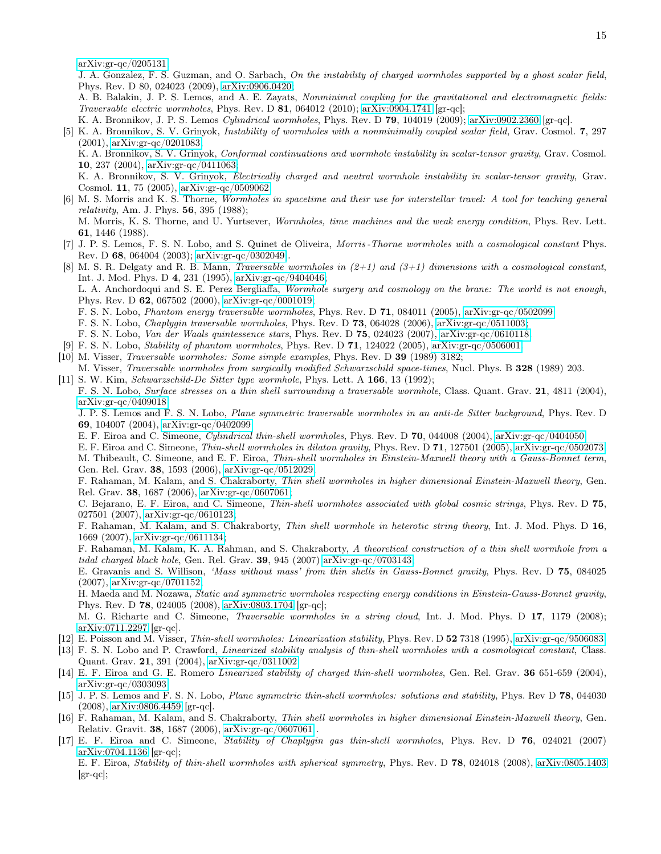[arXiv:gr-qc/0205131;](http://arxiv.org/abs/gr-qc/0205131)

J. A. Gonzalez, F. S. Guzman, and O. Sarbach, On the instability of charged wormholes supported by a ghost scalar field, Phys. Rev. D 80, 024023 (2009), [arXiv:0906.0420;](http://arxiv.org/abs/0906.0420)

A. B. Balakin, J. P. S. Lemos, and A. E. Zayats, Nonminimal coupling for the gravitational and electromagnetic fields: Traversable electric wormholes, Phys. Rev. D  $81$ , 064012 (2010); [arXiv:0904.1741](http://arxiv.org/abs/0904.1741) [gr-qc];

K. A. Bronnikov, J. P. S. Lemos Cylindrical wormholes, Phys. Rev. D 79, 104019 (2009); [arXiv:0902.2360](http://arxiv.org/abs/0902.2360) [gr-qc].

<span id="page-14-0"></span>[5] K. A. Bronnikov, S. V. Grinyok, Instability of wormholes with a nonminimally coupled scalar field, Grav. Cosmol. 7, 297 (2001), [arXiv:gr-qc/0201083;](http://arxiv.org/abs/gr-qc/0201083)

K. A. Bronnikov, S. V. Grinyok, Conformal continuations and wormhole instability in scalar-tensor gravity, Grav. Cosmol. 10, 237 (2004), [arXiv:gr-qc/0411063;](http://arxiv.org/abs/gr-qc/0411063)

K. A. Bronnikov, S. V. Grinyok, Electrically charged and neutral wormhole instability in scalar-tensor gravity, Grav. Cosmol. 11, 75 (2005), [arXiv:gr-qc/0509062.](http://arxiv.org/abs/gr-qc/0509062)

<span id="page-14-1"></span>[6] M. S. Morris and K. S. Thorne, Wormholes in spacetime and their use for interstellar travel: A tool for teaching general *relativity*, Am. J. Phys.  $56, 395$  (1988); M. Morris, K. S. Thorne, and U. Yurtsever, Wormholes, time machines and the weak energy condition, Phys. Rev. Lett.

61, 1446 (1988).

- <span id="page-14-2"></span>[7] J. P. S. Lemos, F. S. N. Lobo, and S. Quinet de Oliveira, Morris -Thorne wormholes with a cosmological constant Phys. Rev. D 68, 064004 (2003); [arXiv:gr-qc/0302049\]](http://arxiv.org/abs/gr-qc/0302049).
- <span id="page-14-3"></span>[8] M. S. R. Delgaty and R. B. Mann, *Traversable wormholes in*  $(2+1)$  and  $(3+1)$  dimensions with a cosmological constant, Int. J. Mod. Phys. D 4, 231 (1995), [arXiv:gr-qc/9404046;](http://arxiv.org/abs/gr-qc/9404046) L. A. Anchordoqui and S. E. Perez Bergliaffa, Wormhole surgery and cosmology on the brane: The world is not enough, Phys. Rev. D 62, 067502 (2000), [arXiv:gr-qc/0001019;](http://arxiv.org/abs/gr-qc/0001019) F. S. N. Lobo, Phantom energy traversable wormholes, Phys. Rev. D 71, 084011 (2005), [arXiv:gr-qc/0502099;](http://arxiv.org/abs/gr-qc/0502099) F. S. N. Lobo, Chaplygin traversable wormholes, Phys. Rev. D 73, 064028 (2006), [arXiv:gr-qc/0511003;](http://arxiv.org/abs/gr-qc/0511003) F. S. N. Lobo, Van der Waals quintessence stars, Phys. Rev. D 75, 024023 (2007), [arXiv:gr-qc/0610118.](http://arxiv.org/abs/gr-qc/0610118) [9] F. S. N. Lobo, Stability of phantom wormholes, Phys. Rev. D 71, 124022 (2005), [arXiv:gr-qc/0506001.](http://arxiv.org/abs/gr-qc/0506001)
- <span id="page-14-5"></span><span id="page-14-4"></span>[10] M. Visser, Traversable wormholes: Some simple examples, Phys. Rev. D 39 (1989) 3182;
- M. Visser, Traversable wormholes from surgically modified Schwarzschild space-times, Nucl. Phys. B 328 (1989) 203. [11] S. W. Kim, Schwarzschild-De Sitter type wormhole, Phys. Lett. A 166, 13 (1992);

<span id="page-14-6"></span>F. S. N. Lobo, Surface stresses on a thin shell surrounding a traversable wormhole, Class. Quant. Grav. 21, 4811 (2004), [arXiv:gr-qc/0409018;](http://arxiv.org/abs/gr-qc/0409018)

J. P. S. Lemos and F. S. N. Lobo, Plane symmetric traversable wormholes in an anti-de Sitter background, Phys. Rev. D 69, 104007 (2004), [arXiv:gr-qc/0402099;](http://arxiv.org/abs/gr-qc/0402099)

E. F. Eiroa and C. Simeone, Cylindrical thin-shell wormholes, Phys. Rev. D 70, 044008 (2004), [arXiv:gr-qc/0404050;](http://arxiv.org/abs/gr-qc/0404050)

E. F. Eiroa and C. Simeone, Thin-shell wormholes in dilaton gravity, Phys. Rev. D 71, 127501 (2005), [arXiv:gr-qc/0502073;](http://arxiv.org/abs/gr-qc/0502073) M. Thibeault, C. Simeone, and E. F. Eiroa, Thin-shell wormholes in Einstein-Maxwell theory with a Gauss-Bonnet term, Gen. Rel. Grav. 38, 1593 (2006), [arXiv:gr-qc/0512029;](http://arxiv.org/abs/gr-qc/0512029)

F. Rahaman, M. Kalam, and S. Chakraborty, Thin shell wormholes in higher dimensional Einstein-Maxwell theory, Gen. Rel. Grav. 38, 1687 (2006), [arXiv:gr-qc/0607061;](http://arxiv.org/abs/gr-qc/0607061)

C. Bejarano, E. F. Eiroa, and C. Simeone, Thin-shell wormholes associated with global cosmic strings, Phys. Rev. D 75, 027501 (2007), [arXiv:gr-qc/0610123;](http://arxiv.org/abs/gr-qc/0610123)

F. Rahaman, M. Kalam, and S. Chakraborty, Thin shell wormhole in heterotic string theory, Int. J. Mod. Phys. D 16, 1669 (2007), [arXiv:gr-qc/0611134;](http://arxiv.org/abs/gr-qc/0611134)

F. Rahaman, M. Kalam, K. A. Rahman, and S. Chakraborty, A theoretical construction of a thin shell wormhole from a tidal charged black hole, Gen. Rel. Grav. **39**, 945 (2007) [arXiv:gr-qc/0703143;](http://arxiv.org/abs/gr-qc/0703143)

E. Gravanis and S. Willison, 'Mass without mass' from thin shells in Gauss-Bonnet gravity, Phys. Rev. D 75, 084025 (2007), [arXiv:gr-qc/0701152;](http://arxiv.org/abs/gr-qc/0701152)

H. Maeda and M. Nozawa, Static and symmetric wormholes respecting energy conditions in Einstein-Gauss-Bonnet gravity, Phys. Rev. D 78, 024005 (2008), [arXiv:0803.1704](http://arxiv.org/abs/0803.1704) [gr-qc];

M. G. Richarte and C. Simeone, Traversable wormholes in a string cloud, Int. J. Mod. Phys. D 17, 1179 (2008); [arXiv:0711.2297](http://arxiv.org/abs/0711.2297) [gr-qc].

- <span id="page-14-7"></span>[12] E. Poisson and M. Visser, Thin-shell wormholes: Linearization stability, Phys. Rev. D 52 7318 (1995), [arXiv:gr-qc/9506083.](http://arxiv.org/abs/gr-qc/9506083)
- <span id="page-14-8"></span>[13] F. S. N. Lobo and P. Crawford, Linearized stability analysis of thin-shell wormholes with a cosmological constant, Class. Quant. Grav. 21, 391 (2004), [arXiv:gr-qc/0311002.](http://arxiv.org/abs/gr-qc/0311002)
- <span id="page-14-9"></span>[14] E. F. Eiroa and G. E. Romero Linearized stability of charged thin-shell wormholes, Gen. Rel. Grav. 36 651-659 (2004), [arXiv:gr-qc/0303093.](http://arxiv.org/abs/gr-qc/0303093)
- <span id="page-14-10"></span>[15] J. P. S. Lemos and F. S. N. Lobo, Plane symmetric thin-shell wormholes: solutions and stability, Phys. Rev D 78, 044030 (2008), [arXiv:0806.4459](http://arxiv.org/abs/0806.4459) [gr-qc].
- <span id="page-14-11"></span>[16] F. Rahaman, M. Kalam, and S. Chakraborty, Thin shell wormholes in higher dimensional Einstein-Maxwell theory, Gen. Relativ. Gravit. 38, 1687 (2006), [arXiv:gr-qc/0607061](http://arxiv.org/abs/gr-qc/0607061) .
- <span id="page-14-12"></span>[17] E. F. Eiroa and C. Simeone, Stability of Chaplygin gas thin-shell wormholes, Phys. Rev. D 76, 024021 (2007) [arXiv:0704.1136](http://arxiv.org/abs/0704.1136) [gr-qc];

E. F. Eiroa, Stability of thin-shell wormholes with spherical symmetry, Phys. Rev. D 78, 024018 (2008), [arXiv:0805.1403](http://arxiv.org/abs/0805.1403)  $\left[\text{gr-qc}\right]$ ;